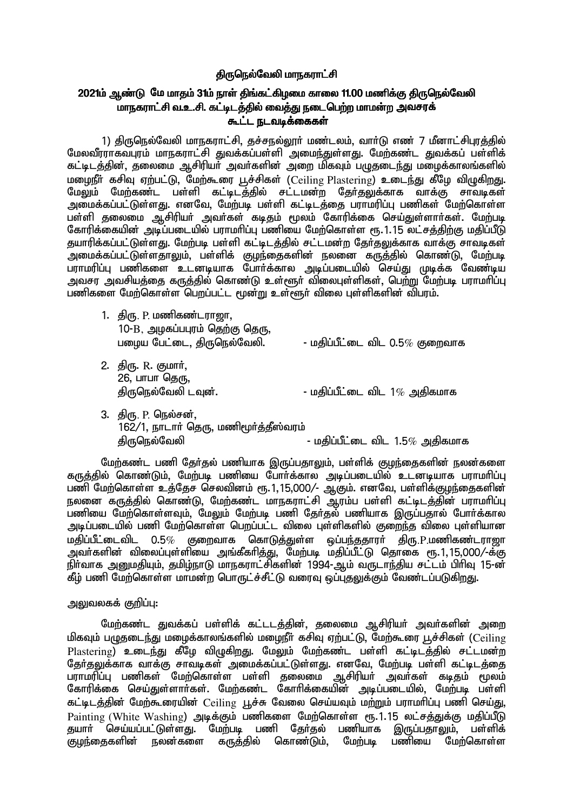# கிருநெல்வேலி மாநகராட்சி

# 2021ம் ஆண்டு மே மாதம் 31ம் நாள் திங்கட்கிழமை காலை 11.00 மணிக்கு திருநெல்வேலி மாநகராட்சி வ.உ.சி. கட்டிடத்தில் வைத்து நடைபெற்ற மாமன்ற அவசரக் <u>கூட்ட நடவடிக்கைகள்</u>

1) திருநெல்வேலி மாநகராட்சி, தச்சநல்லூர் மண்டலம், வார்டு எண் 7 மீனாட்சிபுரத்தில் மேலவீராாகவபாம் மாநகராட்சி துவக்கப்பள்ளி அமைந்துள்ளது. மேற்கண்ட துவக்கப் பள்ளிக் கட்டிடத்தின், தலைமை ஆசிரியா் அவா்களின் அறை மிகவும் பழுதடைந்து மழைக்காலங்களில் மழைநீர் கசிவு ஏற்பட்டு, மேற்கூரை பூச்சிகள் (Ceiling Plastering) உடைந்து கீழே விழுகிறது. மேலும் மேற்கண்ட பள்ளி கட்டிடத்தில் சட்டமன்ற தேர்தலுக்காக வாக்கு சாவடிகள் அமைக்கப்பட்டுள்ளது. எனவே, மேற்படி பள்ளி கட்டிடத்தை பராமரிப்பு பணிகள் மேற்கொள்ள பள்ளி தலைமை ஆசிரியர் அவர்கள் கடிதம் மூலம் கோரிக்கை செய்துள்ளார்கள். மேற்படி கோரிக்கையின் அடிப்படையில் பராமரிப்பு பணியை மேற்கொள்ள ரூ.1.15 லட்சத்திற்கு மதிப்பீடு குயாரிக்கப்பட்டுள்ளது. மேற்படி பள்ளி கட்டிடக்கில் சட்டமன்ற கேர்கலுக்காக வாக்கு சாவடிகள் அமைக்கப்பட்டுள்ளதாலும், பள்ளிக் குழந்தைகளின் நலனை கருத்தில் கொண்டு, மேற்படி பாாமரிப்ப பணிகளை உடனடியாக போர்க்கால அடிப்படையில் செய்து முடிக்க வேண்டிய <u>அவசா, அவசியக்கை கருக்கில் கொண்டு உள்ளூர் விலைபுள்ளிகள். பெற்று மேற்படி பராமரிப்பு </u> பணிகளை மேற்கொள்ள பெறப்பட்ட மூன்று உள்ளூர் விலை புள்ளிகளின் விபரம்.

| 1. திரு. P. மணிகண்டராஜா,<br>10-B, அழகப்பபுரம் தெற்கு தெரு,<br>பழைய பேட்டை, திருநெல்வேலி. | - மதிப்பீட்டை விட $0.5\%$ குறைவாக |
|------------------------------------------------------------------------------------------|-----------------------------------|
| 2.   திரு. R. குமார்,<br>26, பாபா தெரு,<br>திருநெல்வேலி டவுன்.                           | - மதிப்பீட்டை விட $1\%$ அதிகமாக   |

3. திரு. P. நெல்சன்,  $162/1$ , நாடார் தெரு, மணிமூர்க்கீஸ்வரம் jpUney;Ntyp - kjpg;gPl;il tpl 1.5% mjpfkhf

மேற்கண்ட பணி தேர்தல் பணியாக இருப்பதாலும், பள்ளிக் குழந்தைகளின் நலன்களை fUj;jpy; nfhz;Lk;> Nkw;gb gzpia Nghh;f;fhy mbg;gilapy; cldbahf guhkhpg;G பணி மேற்கொள்ள உக்தேச செலவினம் ரூ.1,15,000/- ஆகும். எனவே, பள்ளிக்குழந்தைகளின் நலனை கருத்தில் கொண்டு, மேற்கண்ட மாநகராட்சி ஆரம்ப பள்ளி கட்டிடத்தின் பராமரிப்பு .<br>பணியை மேற்கொள்ளவும், மேலும் மேற்படி பணி தேர்தல் பணியாக இருப்பதால் போர்க்கால அடிப்படையில் பணி மேற்கொள்ள பெறப்பட்ட விலை புள்ளிகளில் குறைந்த விலை புள்ளியான மதிப்பீட்டைவிட  $0.5\%$  குறைவாக கொடுக்குள்ள ஒப்பந்ததாரர் கிரு. $P$ ,மணிகண்டராறா அவர்களின் விலைப்புள்ளியை அங்கீகரித்து, மேற்படி மதிப்பீட்டு தொகை ரூ.1,15,000/-க்கு நிர்வாக அனுமதியும், தமிழ்நாடு மாநகராட்சிகளின் 1994-ஆம் வருடாந்திய சட்டம் பிரிவு 15-ன் கீழ் பணி மேற்கொள்ள மாமன்ற பொருட்ச்சீட்டு வரைவு ஒப்பதலுக்கும் வேண்டப்படுகி<u>றது</u>.

### அலுவலகக் குறிப்பு:

மேற்கண்ட துவக்கப் பள்ளிக் கட்டடத்தின், தலைமை ஆசிரியர் அவர்களின் அறை மிகவும் பழுதடைந்து மழைக்காலங்களில் மழைநீர் கசிவு ஏற்பட்டு, மேற்கூரை பூச்சிகள் (Ceiling Plastering) உடைந்து கீழே விழுகிறது. மேலும் மேற்கண்ட பள்ளி கட்டிடத்தில் சட்டமன்ற தேர்தலுக்காக வாக்கு சாவடிகள் அமைக்கப்பட்டுள்ளது. எனவே, மேற்படி பள்ளி கட்டிடத்தை பராமரிப்பு பணிகள் மேற்கொள்ள பள்ளி தலைமை ஆசிரியர் அவர்கள் கடிதம் மூலம் கோரிக்கை செய்துள்ளார்கள். மேற்கண்ட கோரிக்கையின் அடிப்படையில், மேற்படி பள்ளி கட்டிடத்தின் மேற்கூரையின் Ceiling பூச்சு வேலை செய்யவும் மற்றும் பராமரிப்பு பணி செய்து, Painting (White Washing) அடிக்கும் பணிகளை மேற்கொள்ள ரூ.1.15 லட்சத்துக்கு மதிப்பீடு<br>சுயார் செய்யப்பட்டுள்ளது. மேற்படி பணி கேர்தல் பணியாக இருப்பதாலும், பள்ளிக் தயார் செய்யப்பட்டுள்ளது. மேற்படி பணி தேர்தல் பணியாக இருப்பதாலும், பள்ளிக்<br>குழந்தைகளின் நலன்களை கருத்தில் கொண்டும், மேற்படி பணியை மேற்கொள்ள பணியை மேற்கொள்ள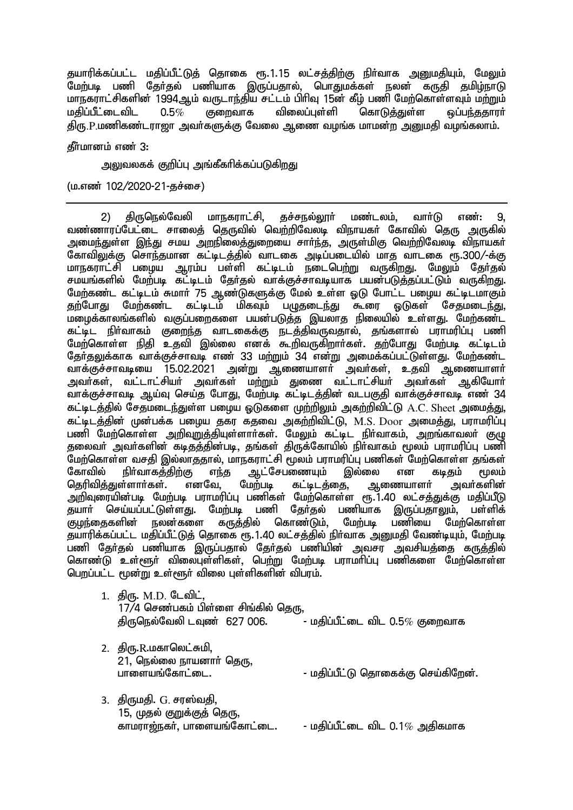தயாரிக்கப்பட்ட மதிப்பீட்டுத் தொகை ரூ.1.15 லட்சத்திற்கு நிர்வாக அனுமதியும், மேலும் மேற்படி பணி தேர்தல் பணியாக இருப்பதால், பொதுமக்கள் நலன் கருதி தமிழ்நாடு மாநகராட்சிகளின் 1994ஆம் வருடாந்திய சட்டம் பிரிவு 15ன் கீழ் பணி மேற்கொள்ளவும் மற்றும்<br>மகிப்பீட்டைவிட 0.5 $\%$  குறைவாக விலைப்பள்ளி கொடுக்குள்ள ஒப்பந்ககாார்  $\overline{0.5\%}$  குறைவாக விலைப்புள்ளி கொடுத்துள்ள ஒப்பந்ததாரர் திரு, P,மணிகண்டராஜா அவர்களுக்கு வேலை ஆணை வழங்க மாமன்ற அனுமதி வழங்கலாம்.

### தீர்மானம் எண் 3:

அலுவலகக் குறிப்பு அங்கீகரிக்கப்படுகிறது

 $(u.\sigma\vec{v}$  102/2020-21-தச்சை)

2) திருடுநல்வேலி மாநகராட்சி, தச்சநல்லார் மண்டலம், வார்டு எண்: 9, வண்ணாாப்பேட்டை சாலைக் கொடவில் வெற்றிவேலடி விநாயகர் கோவில் கொட அருகில் <u>அமைந்து</u>ள்ள <u>இந்து</u> சமய <u>அறநிலைத்துறை</u>யை சார்ந்த, அருள்மிகு வெற்றிவேலடி விநாயகர் கோவிலுக்கு சொந்தமான கட்டிடக்கில் வாடகை அடிப்படையில் மாகு வாடகை ரூ.300/-க்கு <u>மாந</u>கராட்சி பழைய ஆரம்ப பள்ளி கட்டிடம் நடைபெ<u>ற்று</u> வருகிறது. மேலும் கேர்கல் சமயங்களில் மேற்படி கட்டிடம் தேர்தல் வாக்குச்சாவடியாக பயன்படுத்தப்பட்டும் வருகிறது. மேற்கண்ட கட்டிடம் சுமார் 75 ஆண்டுகளுக்கு மேல் உள்ள ஓடு போட்ட பழைய கட்டிடமாகும்<br>தற்போது மேற்கண்ட கட்டிடம் மிகவும் பழுதடைந்து கூரை ஓடுகள் சேதமடைந்து கட்டிடம் மிகவும் பழுதடைந்து கூரை ஒடுகள் சேதமடைந்து, ் மழைக்காலங்களில் வகுப்பறைகளை பயன்படுத்த இயலாத நிலையில் உள்ளது. மேற்கண்ட கட்டிட நிர்வாகம் குறைந்த வாடகைக்கு நடத்திவருவதால், தங்களால் பராமரிப்பு பணி மேற்கொள்ள நிதி உதவி இல்லை எனக் கூறிவருகிறார்கள். தற்போது மேற்படி கட்டிடம் தேர்தலுக்காக வாக்குச்சாவடி எண் 33 மற்றும் 34 என்று அமைக்கப்பட்டுள்ளது. மேற்கண்ட<br>வாக்குச்சாவடியை 15.02.2021 அன்று ஆணையாளர் அவர்கள், உதவி ஆணையாளர்  $\Delta$ டிணையாளா் அவா்கள், உதவி ஆணையாளா் அவா்கள், வட்டாட்சியா் அவா்கள் மற்றும் துணை வட்டாட்சியா் அவா்கள் ஆகியோா் ்.<br>வாக்குச்சாவடி ஆய்வு செய்த போது, மேற்படி கட்டிடத்தின் வடபகுதி வாக்குச்சாவடி எண 34 கட்டிடத்தில் சேதமடைந்துள்ள பழைய ஒடுகளை முற்றிலும் அகற்றிவிட்டு A.C. Sheet அமைத்து, கட்டிடத்தின் முன்பக்க பழைய தகர கதவை அகற்றிவிட்டு, M.S. Door அமைத்து, பராமரிப்பு பணி மேற்கொள்ள அறிவுறுத்தியுள்ளார்கள். மேலும் கட்டிட நிர்வாகம், அறங்காவலர் குழு தலைவா் அவா்களின் கடிதத்தின்படி, தங்கள் திருக்கோயில் நிா்வாகம் மூலம் பராமரிப்பு பணி Nkw;nfhs;s trjp ,y;yhjjhy;> khefuhl;rp %yk; guhkupg;G gzpfs; Nkw;nfhs;s jq;fs; ஆட்சேபணையும் இல்லை என கடிதம் மூலம்<br>மற்படி கட்டிடத்தை, ஆணையாளர் அவர்களின் தெரிவித்துள்ளார்கள். எனவே, மேற்படி கட்டிடத்தை, ஆணையாளர் அறிவுரையின்படி மேற்படி பராமரிப்பு பணிகள் மேற்கொள்ள ரூ.1.40 லட்சத்துக்கு மதிப்பீடு<br>தயார் செய்யப்பட்டுள்ளது. மேற்படி பணி தேர்தல் பணியாக இருப்பதாலும், பள்ளிக் ட்டுள்ளது. மேற்படி பணி தேர்தல் பணியாக இருப்பதாலும், பள்ளிக்<br>நலன்களை கருத்தில் கொண்டும். மேற்படி பணியை மேற்கொள்ள குமந்தைகளின் தயாரிக்கப்பட்ட மதிப்பீட்டுத் தொகை ரூ.1.40 லட்சத்தில் நிர்வாக அனுமதி வேண்டியும், மேற்படி .<br>பணி தேர்தல் பணியாக இருப்பதால் தேர்தல் பணியின் அவசர அவசியத்தை கருத்தில் கொண்டு உள்ளூர் விலைபுள்ளிகள், பெற்று மேற்படி பராமரிப்பு பணிகளை மேற்கொள்ள பெறப்பட்ட மூன்று உள்ளூர் விலை புள்ளிகளின் விபரம்.

| 1.   திரு. M.D. டேவிட்,               |                                    |
|---------------------------------------|------------------------------------|
| $17/4$ செண்பகம் பிள்ளை சிங்கில் தெரு, |                                    |
| திருநெல்வேலி டவுண்  627 006.          | - மதிப்பீட்டை விட 0.5 $\%$ குறைவாக |
|                                       |                                    |

- $2.$  சிரு. $R.\mu$ காலெட்சுமி. .<br>21, நெல்லை நாயனாா் தெரு,<br>பாளையங்கோட்டை. - மதிப்பீட்டு தொகைக்கு செய்கிறேன்.
- 3. திருமதி. G. சரஸ்வதி, 15, முதல் குறுக்குத் தெரு,<br>காமாாள்கள். பாளையங்கோட்டை. - மகிப்பீட்டை விட  $0.1\%$  அகிகமாக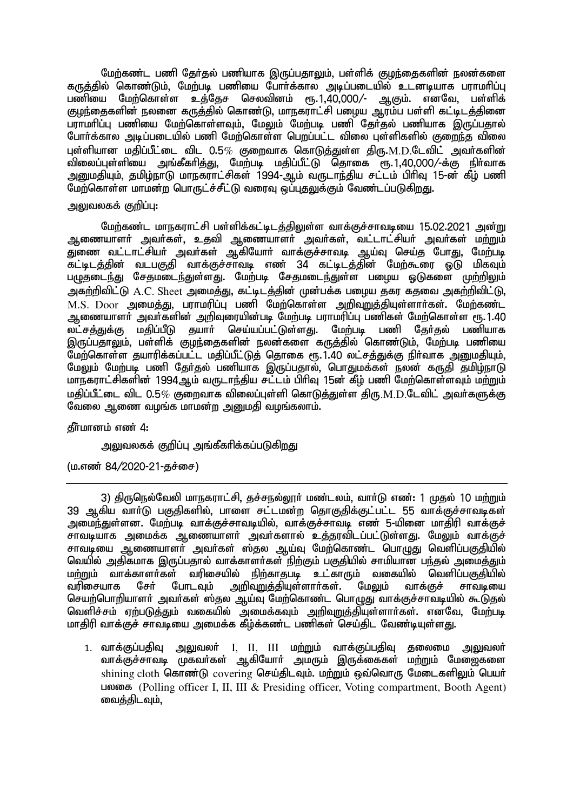மேற்கண்ட பணி தேர்தல் பணியாக இருப்பதாலும், பள்ளிக் குழந்தைகளின் நலன்களை கருத்தில் கொண்டும், மேற்படி பணியை போர்க்கால அடிப்படையில் உடனடியாக பராமரிப்பு பணியை மேற்கொள்ள உத்தேச செலவினம் ரூ.1,40,000/- ஆகும். எனவே, பள்ளிக் குழந்தைகளின் நலனை கருத்தில் கொண்டு, மாநகராட்சி பழைய ஆரம்ப பள்ளி கட்டிடத்தினை பராமரிப்பு பணியை மேற்கொள்ளவும், மேலும் மேற்படி பணி கேர்தல் பணியாக இருப்பதால் போர்க்கால அடிப்படையில் பணி மேற்கொள்ள பெறப்பட்ட விலை புள்ளிகளில் குறைந்த விலை புள்ளியான மதிப்பீட்டை விட  $0.5\%$  குறைவாக கொடுத்துள்ள திரு. $\text{M.D.}$ டேவிட் அவர்களின் விலைப்புள்ளியை அங்கீகரித்து, மேற்படி மதிப்பீட்டு தொகை ரூ.1,40,000/-க்கு நிர்வாக <u>அனு</u>மதியும், தமிழ்நாடு மாநகராட்சிகள் 1994-ஆம் வருடாந்திய சட்டம் பிரிவு 15-ன் கீம் பணி மேற்கொள்ள மாமன்ற பொருட்ச்சீட்டு வரைவு ஒப்புகலுக்கும் வேண்டப்படுகிறது.

## அலுவலகக் குறிப்பு:

மேற்கண்ட மாநகராட்சி பள்ளிக்கட்டிடக்கிலுள்ள வாக்குச்சாவடியை 15.02.2021 அன்று ஆணையாளர் அவர்கள், உதவி ஆணையாளர் அவர்கள், வட்டாட்சியர் அவர்கள் மற்றும் ு,<br>துணை வட்டாட்சியா் அவா்கள் ஆகியோா் வாக்குச்சாவடி ஆய்வு செய்த போது, மேற்படி ,<br>கட்டிடத்தின் வடபகுதி வாக்குச்சாவடி எண 34 கட்டிடத்தின் மேற்கூரை ஒடு மிகவும் பழுதடைந்து சேதமடைந்துள்ளது. மேற்படி சேதமடைந்துள்ள பழைய ஒடுகளை முற்றிலும் அகற்றிவிட்டு A.C. Sheet அமைத்து, கட்டிடத்தின் முன்பக்க பமைய தகர கதவை அகற்றிவிட்டு,  $M.S.$   $Door$  அமைத்து, பராமரிப்பு பணி மேற்கொள்ள அறிவுறுத்தியுள்ளார்கள். மேற்கண்ட ஆணையாளா் அவா்களின் அறிவுரையின்படி மேற்படி பராமரிப்பு பணிகள் மேற்கொள்ள ரூ.1.40<br>லட்சத்துக்கு மதிப்பீடு தயாா் செய்யப்பட்டுள்ளது. மேற்படி பணி தோ்தல் பணியாக தயாா் செய்யப்பட்டுள்ளது. மேற்படி பணி இருப்பதாலும், பள்ளிக் குமந்தைகளின் நலன்களை கருக்கில் கொண்டும். மேற்படி பணியை மேற்கொள்ள தயாரிக்கப்பட்ட மதிப்பீட்டுத் தொகை ரூ.1.40 லட்சத்துக்கு நிர்வாக அனுமதியும். மேலும் மேற்படி பணி தேர்தல் பணியாக இருப்பதால், பொதுமக்கள் நலன் கருதி தமிழ்நாடு மாநகராட்சிகளின் 1994ஆம் வருடாந்திய சட்டம் பிரிவு 15ன் கீழ் பணி மேற்கொள்ளவும் மற்றும் மதிப்பீட்டை விட  $0.5\%$  குறைவாக விலைப்புள்ளி கொடுக்குள்ள கிரு.M.D.டேவிட் அவர்களுக்கு வேலை ஆணை வழங்க மாமன்ற அனுமதி வழங்கலாம்.

தீர்மானம் எண் 4:

அலுவலகக் குறிப்பு அங்கீகரிக்கப்படுகிறது

 $(\text{u}.\text{m}$ ண் 84/2020-21-தச்சை)

3) திருநெல்வேலி மாநகராட்சி, தச்சநல்லூர் மண்டலம், வார்டு எண்: 1 முதல் 10 மற்றும் 39 ஆகிய வார்டு பகுதிகளில், பாளை சட்டமன்ற தொகுதிக்குட்பட்ட 55 வாக்குச்சாவடிகள் அமைந்துள்ளன. மேற்படி வாக்குச்சாவடியில், வாக்குச்சாவடி எண் 5-யினை மாதிரி வாக்குச் சாவடியாக அமைக்க ஆணையாளர் அவர்களால் உத்தரவிடப்பட்டுள்ளது. மேலும் வாக்குச் சாவடியை ஆணையாளா் அவா்கள் ஸ்தல ஆய்வு மேற்கொண்ட பொழுது வெளிப்பகுதியில் வெயில் அதிகமாக இருப்பதால் வாக்காளா்கள் நிற்கும் பகுதியில் சாமியான பந்தல் அமைத்தும்<br>மற்றும் வாக்காளா்கள் வரிசையில் நிற்காதபடி உட்காரும் வகையில் வெளிப்பகுதியில் <del>ா்</del> வரிசையில் நிற்காதபடி உட்காரும் வகையில்<br>போடவும் அறிவுறுத்தியுள்ளாா்கள். மேலும் வாச வரிசையாக சேர் போடவும் <u>அறிவறுத்</u>தியுள்ளார்கள். மேலும் வாக்குச் சாவடியை செயற்பொறியாளர் அவர்கள் ஸ்தல ஆய்வு மேற்கொண்ட பொழுது வாக்குச்சாவடியில் கூடுதல் வெளிச்சம் ஏற்படுத்தும் வகையில் அமைக்கவும் அறிவுறுத்தியுள்ளார்கள். எனவே, மேற்படி மாதிரி வாக்குச் சாவடியை அமைக்க கீழ்க்கண்ட பணிகள் செய்திட வேண்டியுள்ளது.

 $1.$  வாக்குப்பதிவு அலுவலா் I, II, III மற்றும் வாக்குப்பதிவு தலைமை அலுவலா் வாக்குச்சாவடி முகவர்கள் ஆகியோர் அமரும் இருக்கைகள் மற்றும் மேஜைகளை  $\sin$ ining cloth கொண்டு covering செய்திடவும். மற்றும் ஒவ்வொரு மேடைகளிலும் பெயர் LIONER (Polling officer I, II, III & Presiding officer, Voting compartment, Booth Agent) வைக்கிடவும்.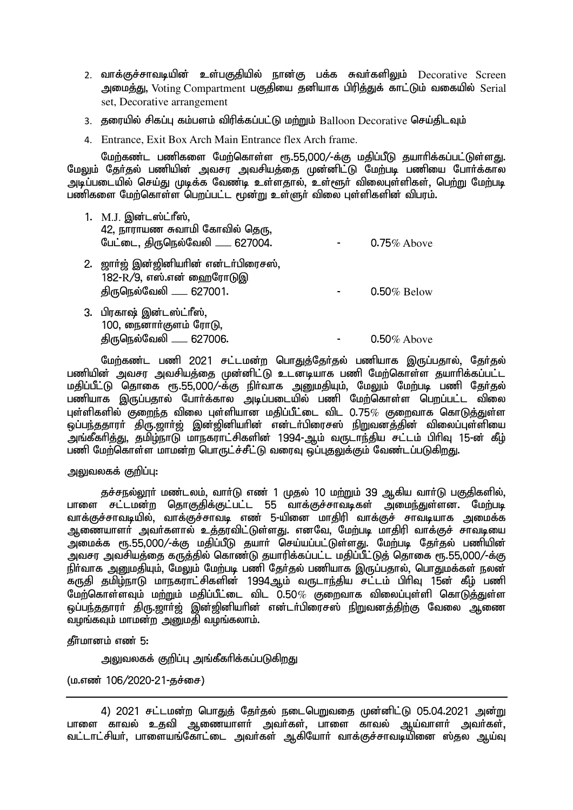- 2. வாக்குச்சாவடியின் உள்பகுதியில் நான்கு பக்க சுவர்களிலும் Decorative Screen அமைத்து, Voting Compartment பகுதியை தனியாக பிரித்துக் காட்டும் வகையில் Serial set, Decorative arrangement
- 3. தரையில் சிகப்பு கம்பளம் விரிக்கப்பட்டு மற்றும் Balloon Decorative செய்திடவும்
- 4. Entrance, Exit Box Arch Main Entrance flex Arch frame.

மேற்கண்ட பணிகளை மேற்கொள்ள ரூ.55,000/-க்கு மகிப்பீடு தயாரிக்கப்பட்டுள்ளது. மேலும் தேர்தல் பணியின் அவசர அவசியத்தை முன்னிட்டு மேற்படி பணியை போர்க்கால <u>அடிப்படையில் செய்து முடிக்க வேண்டி உள்ளதால், உள்ளூர் விலைபுள்ளிகள், பெற்று மேற்படி</u> பணிகளை மேற்கொள்ள பெறப்பட்ட மூன்று உள்ளுர் விலை புள்ளிகளின் விபரம்.

| 1. M.J. இன்டஸ்ட்ரீஸ்,<br>42, நாராயண சுவாமி கோவில் தெரு,<br>பேட்டை, திருநெல்வேலி ___ 627004.    | $0.75\%$ Above |
|------------------------------------------------------------------------------------------------|----------------|
| 2. ஜார்ஜ் இன்ஜினியரின் என்டர்பிரைசஸ்,<br>182-R/9, எஸ்.என் ஹைரோடுஇ<br>திருநெல்வேலி ____ 627001. | $0.50\%$ Below |
| 3. பிரகாஷ் இன்டஸ்ட்ரீஸ்,<br>100, நைனார்குளம் ரோடு,                                             |                |

திருநெல்வேலி \_\_\_\_ 627006.  $\blacksquare$  - 0.50% Above

மேற்கண்ட பணி 2021 சட்டமன்ற பொதுத்தேர்தல் பணியாக இருப்பதால், தேர்தல் பணியின் அவசர அவசியத்தை முன்னிட்டு உடனடியாக பணி மேற்கொள்ள தயாரிக்கப்பட்ட மகிப்பீட்டு கொகை ரூ.55,000/-க்கு நிர்வாக அறைமகியும், மேலும் மேற்படி பணி கேர்கல் பணியாக இருப்பதால் போர்க்கால அடிப்படையில் பணி மேற்கொள்ள பெறப்பட்ட விலை புள்ளிகளில் குறைந்த விலை புள்ளியான மதிப்பீட்டை விட 0.75 $\%$  குறைவாக கொடுத்துள்ள .<br>ஒப்பந்ததாரா திரு.ஜாா்ஜ் இன்ஜினியாின் என்டா்பிரைசஸ் நிறுவனத்தின் விலைப்புள்ளியை ு நட்சிச் திறந்து, தமிழ்நாடு மாநகராட்சிகளின் 1994-ஆம் வருடாந்திய சட்டம் பிரிவு 15-ன் கீழ் ்...<br>பணி மேற்கொள்ள மாமன்ற பொருட்ச்சீட்டு வரைவு ஒப்புகலுக்கும் வேண்டப்படுகிறது.

# அலுவலகக் குறிப்பு:

தச்சநல்லூா் மண்டலம், வாா்டு எண் 1 முதல் 10 மற்றும் 39 ஆகிய வாா்டு பகுதிகளில், பாளை சட்டமன்ற தொகுதிக்குட்பட்ட 55 வாக்குச்சாவடிகள் அமைந்துள்ளன. மேற்படி வாக்குச்சாவடியில், வாக்குச்சாவடி எண் 5-யினை மாதிரி வாக்குச் சாவடியாக அமைக்க ஆணையாளா் அவா்களால் உத்தரவிட்டுள்ளது. எனவே, மேற்படி மாதிரி வாக்குச் சாவடியை அமைக்க ரூ.55,000/-க்கு மதிப்பீடு தயார் செய்யப்பட்டுள்ளது. மேற்படி கேர்கல் பணியின் ு.<br>அவசர அவசியத்தை கருத்தில் கொண்டு தயாரிக்கப்பட்ட மதிப்பீட்டுத் தொகை ரூ.55,000/-க்கு நிர்வாக அனுமதியும், மேலும் மேற்படி பணி தேர்தல் பணியாக இருப்பதால், பொதுமக்கள் நலன் .<br>கருதி தமிழ்நாடு மாநகராட்சிகளின் 1994ஆம் வருடாந்திய சட்டம் பிரிவு 15ன் கீழ் பணி  $\frac{1}{2}$ ியார் மற்றும் மற்றும் மகிப்பீட்டை விட $\frac{1}{2}$ 0.50% குறைவாக விலைப்புள்ளி கொடுத்துள்ள <u>ஒப்பந்ததாரர் திரு.</u>ஜார்ஜ் இன்ஜினியரின் என்டர்பிரைசஸ் நிறுவனத்திற்கு வேலை ஆணை வழங்கவும் மாமன்ற அனுமதி வழங்கலாம்.

கீர்மானம் எண் $5:$ 

<u>ு வலுவலகக் குறிப்ப அங்கீகரிக்கப்படுகிறது.</u>

 $(\text{u}.\text{m}$ ண் 106/2020-21-சுச்சை)

<sup>4) 2021</sup> சட்டமன்ற பொதுத் தேர்தல் நடைபெறுவதை முன்னிட்டு 05.04.2021 அன்று ்பாளை காவல் உகவி அணையாளர் அவர்கள். பாளை காவல் அய்வாளர் அவர்கள். வட்டாட்சியர், பாளையங்கோட்டை அவர்கள் ஆகியோர் வாக்குச்சாவடியினை ஸ்தல ஆய்வு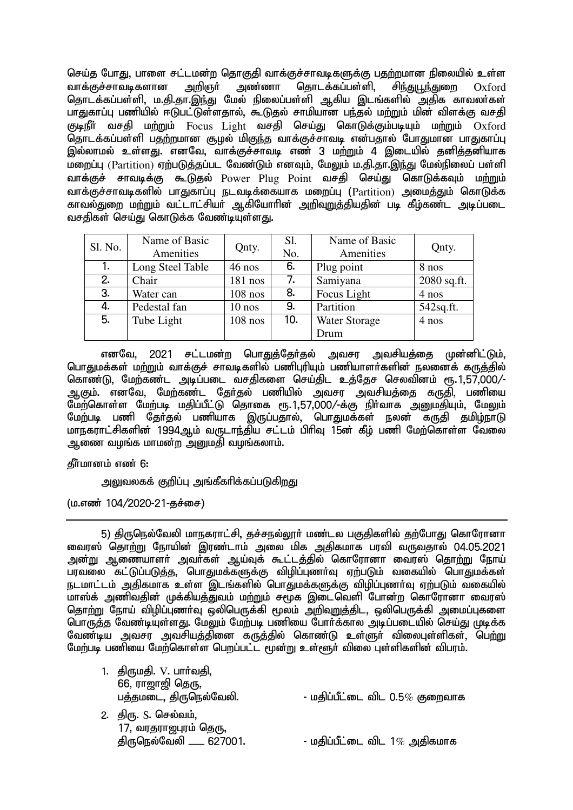செய்த போது, பாளை சட்டமன்ற தொகுதி வாக்குச்சாவடிகளுக்கு பதற்றமான நிலையில் உள்ள<br>வாக்குச்சாவடிகளான அறிஞர் அண்ணா தொடக்கப்பள்ளி, சி<u>ந்துபூந்து</u>றை Oxford வாக்குச்சாவடிகளான அறிஞர் அண்ணா கொடக்கப்பள்ளி. சிர்குடர்களை Oxford தொடக்கப்பள்ளி, ம.தி.தா.இந்து மேல் நிலைப்பள்ளி ஆகிய இடங்களில் அதிக காவலர்கள் பாதுகாப்பு பணியில் ஈடுபட்டுள்ளதால், கூடுதல் சாமியான பந்தல் மற்றும் மின் விளக்கு வசதி குடிநீா் வசதி மற்றும் Focus Light வசதி செய்து கொடுக்கும்படியும் மற்றும் Oxford .<br>தொடக்கப்பள்ளி பதற்றமான சூழல் மிகுந்த வாக்குச்சாவடி என்பதால் 'போதுமான பாதுகாப்பு இல்லாமல் உள்ளது. எனவே, வாக்குச்சாவடி எண் 3 மற்றும் 4 இடையில் தனித்தனியாக ...<br>மறைப்பு (Partition) ஏற்படுத்தப்பட வேண்டும் எனவும், மேலும் ம.தி.தா.இந்து மேல்நிலைப் பள்ளி வாக்குச் சாவடிக்கு கூடுதல் Power Plug Point வசதி செய்து கொடுக்கவும் மற்றும் வாக்குச்சாவடிகளில் பாதுகாப்பு நடவடிக்கையாக மறைப்பு (Partition) அமைக்கும் கொடுக்க ் காவல்துறை மற்றும் வட்டாட்சியர் ஆகியோரின் <u>அறிவறுத்</u>தியதின் படி கீழ்கண்ட அடிப்படை வசகிகள் செய்து கொடுக்க வேண்டியுள்ளது.

| Sl. No. | Name of Basic<br>Amenities | Qnty.     | Sl.<br>No.                  | Name of Basic<br>Amenities | Qnty.        |
|---------|----------------------------|-----------|-----------------------------|----------------------------|--------------|
| 1.      | Long Steel Table           | $46$ nos  | 6.                          | Plug point                 | 8 nos        |
| 2.      | Chair                      | $181$ nos | 7.                          | Samiyana                   | 2080 sq.ft.  |
| 3.      | Water can                  | $108$ nos | 8.                          | Focus Light                | 4 nos        |
| 4.      | Pedestal fan               | $10$ nos  | 9.                          | Partition                  | $542$ sq.ft. |
| 5.      | Tube Light                 | $108$ nos | 10.<br><b>Water Storage</b> |                            | 4 nos        |
|         |                            |           |                             | Drum                       |              |

எனவே, 2021 சட்டமன்ற பொதுத்தேர்தல் அவசர அவசியத்தை முன்னிட்டும், பொதுமக்கள் மற்றும் வாக்குச் சாவடிகளில் பணிபுரியும் பணியாளர்களின் நலனைக் கருத்தில் கொண்டு, மேற்கண்ட அடிப்படை வசதிகளை செய்திட உத்தேச செலவினம் ரூ.1,57,000/-ஆகும். எனவே, மேற்கண்ட தேர்தல் பணியில் அவசர அவசியத்தை கருதி, பணியை ு.<br>மேற்கொள்ள மேற்படி மதிப்பீட்டு தொகை ரூ.1,57,000/-க்கு நிா்வாக அனுமதியும், மேலும் மேற்படி பணி தேர்தல் பணியாக இருப்பதால், பொதுமக்கள் நலன் கருதி தமிழ்நாடு மாநகராட்சிகளின் 1994ஆம் வருடாந்திய சட்டம் பிரிவு 15ன் கீழ் பணி மேற்கொள்ள வேலை அணை வழங்க மாமன்ற அனுமதி வழங்கலாம்.

# தீர்மானம் எண் 6:

<u>அலு</u>வலகக் குறிப்பு அங்கீகரிக்கப்படுகிறது

 $(u.\sigma\vec{v}$  104/2020-21-தச்சை)

5) திருநெல்வேலி மாநகராட்சி, தச்சநல்லூர் மண்டல பகுதிகளில் தற்போது கொரோனா வைரஸ் தொற்று நோயின் இரண்டாம் அலை மிக அதிகமாக பரவி வருவதால் 04.05.2021 <u>அன்று அணையாளர் அவர்கள் அய்வக் கூட்டக்கில் கொரோனா வை</u>ாஸ் கொற்று நோய் ு, பாது<br>பரவலை கட்டுப்படுத்த, பொதுமக்களுக்கு விழிப்புணர்வு ஏற்படும் வகையில் பொதுமக்கள் நடமாட்டம் அதிகமாக உள்ள இடங்களில் பொதுமக்களுக்கு விழிப்புணர்வு ஏற்படும் வகையில் மாஸ்க் அணிவதின் முக்கியத்துவம் மற்றும் சமூக இடைவெளி போன்ற கொரோனா வைரஸ் கொற்று நோய் விழிப்புணர்வு ஓலிபெருக்கி மூலம் அறிவுறுக்கிட, ஓலிபெருக்கி அமைப்புகளை பொருத்த வேண்டியுள்ளது. மேலும் மேற்படி பணியை போர்க்கால அடிப்படையில் செய்து முடிக்க வேண்டிய அவசர அவசியத்தினை கருத்தில் கொண்டு உள்ளுர் விலைபுள்ளிகள், பெ<u>ற்று</u> மேற்படி பணியை மேற்கொள்ள பெறப்பட்ட மூன்று உள்ளூர் விலை பள்ளிகளின் விபரம்.

| 66, ராஜாஜி தெரு,          |                                                  |
|---------------------------|--------------------------------------------------|
| பத்தமடை, திருநெல்வேலி.    | - மதிப்பீட்டை விட $0.5\%$ குறைவாக                |
| 2. திரு. S. செல்வம்,      |                                                  |
|                           |                                                  |
| திருநெல்வேலி ____ 627001. | - மதிப்பீட்டை விட $1\%$ அதிகமாக                  |
|                           | 1. திருமதி. V. பார்வதி,<br>17, வரதராஜபுரம் தெரு, |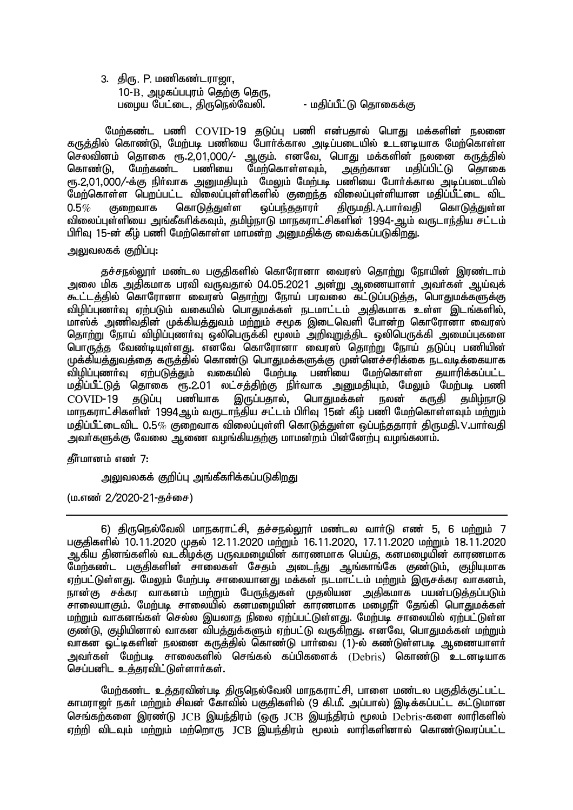3. திரு. P. மணிகண்டரா**ஜா**, .<br>10-B, அமகப்பபாம் தெற்கு தெரு, gioa Ngl;il> jpUney;Ntyp. - kjpg;gPl;L njhiff;F

மேற்கண்ட பணி COVID-19 தடுப்பு பணி என்பதால் பொது மக்களின் நலனை கருத்தில் கொண்டு, மேற்படி பணியை போர்க்கால அடிப்படையில் உடனடியாக மேற்கொள்ள செலவினம் தொகை ரூ.2,01,000/- ஆகும். எனவே, பொது மக்களின் நலனை கருத்தில் கொண்டு, மேற்கண்ட பணியை மேற்கொள்ளவும், அதற்கான மதிப்பிட்டு தொகை ரூ.2,01,000/-க்கு நிர்வாக அனுமதியும் மேலும் மேற்படி பணியை போர்க்கால அடிப்படையில் மேற்கொள்ள பெறப்பட்ட விலைப்புள்ளிகளில் குறைந்த விலைப்புள்ளியான மதிப்பீட்டை விட<br>O.5*%* குறைவாக கொடுத்துள்ள வப்பந்ததாரா் கிருமகி. A.பாா்வகி கொடுக்குள்ள  $0.5\%$  குறைவாக கொடுத்துள்ள ஒப்பந்ததாரா் திருமதி. $\textrm{A.L}$ பாா்வதி கொடுத்துள்ள விலைப்புள்ளியை அங்கீகரிக்கவும், தமிழ்நாடு மாநகராட்சிகளின் 1994-ஆம் வருடாந்திய சட்டம் பிரிவு 15-ன் கீழ் பணி மேற்கொள்ள மாமன்ற அனுமதிக்கு வைக்கப்படுகிறது.

## அலுவலகக் குறிப்பு:

சுச்சால்லார் மண்டல பகுகிகளில் கொரோனா வைாஸ் கொற்று நோயின் இாண்டாம் <u>அ</u>லை மிக அதிகமாக பாவி வருவகால் 04.05.2021 அன்று ஆணையாளர் அவர்கள் ஆய்வுக் ு.<br>கூட்டத்தில் கொரோனா வைரஸ் தொற்று நோய் பரவலை கட்டுப்படுத்த, பொதுமக்களுக்கு விழிப்புணர்வு ஏற்படும் வகையில் பொதுமக்கள் நடமாட்டம் அதிகமாக உள்ள இடங்களில், மாஸ்க் அணிவதின் முக்கியத்துவம் மற்றும் சமூக இடைவெளி போன்ற கொரோனா வைரஸ் தொற்று நோய் விழிப்புணர்வு ஒலிபெருக்கி மூலம் அறிவறுத்திட ஒலிபெருக்கி அமைப்புகளை <u>பொருத்த</u> வேண்டியுள்ளது. எனவே கொரோனா வைரஸ் தொற்று நோய் தடுப்பு பணியின் முக்கியத்துவத்தை கருத்தில் கொண்டு பொதுமக்களுக்கு முன்னெச்சரிக்கை நடவடிக்கையாக tpopg;GzHT Vw;gLj;Jk; tifapy; Nkw;gb gzpia Nkw;nfhs;s jahupf;fg;gl;l மதி்ப்பீட்டுத் தொகை ரூ.2.01 லட்சத்திற்கு நிா்வாக அனுமதியும், மேலும் மேற்படி பணி<br>COVID-19 தடுப்பு பணியாக இருப்பதால், பொதுமக்கள் நலன் கருதி தமிம்நாடு இருப்பதால், பொதுமக்கள் நலன் கருதி மாநகராட்சிகளின் 1994ஆம் வருடாந்திய சட்டம் பிரிவு 15ன் கீம் பணி மேற்கொள்ளவும் மற்றும் மதிப்பீட்டைவிட  $0.5\%$  குறைவாக விலைப்புள்ளி கொடுத்துள்ள ஒப்பந்ததாரர் திருமதி. $V$ .பார்வதி <u>அ</u>வர்களுக்கு வேலை ஆணை வழங்கியகற்கு மாமன்றம் பின்னேற்பு வழங்கலாம்.

## கீர்மானம் எண் $7:$

அலுவலகக் குறிப்பு அங்கீகரிக்கப்படுகிறது

 $(\text{u}.\text{m}$ ண் 2/2020-21-தச்சை)

6) திருநெல்வேலி மாநகராட்சி, தச்சநல்லூர் மண்டல வார்டு எண் 5, 6 மற்றும் 7 பகுதிகளில் 10.11.2020 முதல் 12.11.2020 மற்றும் 16.11.2020, 17.11.2020 மற்றும் 18.11.2020 ஆகிய தினங்களில் வடகிழக்கு பருவமழையின் காரணமாக பெய்த, கனமழையின் காரணமாக மேற்கண்ட பகுதிகளின் சாலைகள் சேதம் அடைந்து ஆங்காங்கே குண்டும், குழியுமாக ஏற்பட்டுள்ளது. மேலும் மேற்படி சாலையானது மக்கள் நடமாட்டம் மற்றும் இருசக்கர வாகனம். நான்கு சக்கர வாகனம் மற்றும் பேருந்துகள் முதலியன அதிகமாக பயன்படுத்தப்படும் rhiyahFk;. Nkw;gb rhiyapy; fdkioapd; fhuzkhf kioePH Njq;fp nghJkf;fs; மர்மும் வாகனங்கள் செல்ல இயலாக நிலை எற்ப்பட்டுள்ளகு. மேற்படி சாலையில் எற்பட்டுள்ள குண்டு, குழியினால் வாகன விபத்துக்களும் ஏற்பட்டு வருகிறது. எனவே, பொதுமக்கள் மற்றும் ் குறித்து முடிய நிலையில் குடித்தில் கொண்டு பார்வை (1)-ல் கண்டுள்ளபடி ஆணையாளர் அவர்கள் மேற்படி சாலைகளில் செங்கல் கப்பிகளைக் (Debris) கொண்டு உடனடியாக  $\overline{\mathsf{Q}}$ சப்பனிட உக்காவிட்டுள்ளார்கள்.

மேற்கண்ட உத்தரவின்படி திருநெல்வேலி மாநகராட்சி, பாளை மண்டல பகுதிக்குட்பட்ட காமராஜர் நகர் மற்றும் சிவன் கோவில் பகுதிகளில் (9 கி.மீ. அப்பால்) இடிக்கப்பட்ட கட்டுமான செங்கற்களை இரண்டு JCB இயந்திரம் (ஒரு JCB இயந்திரம் மூலம் Debris-களை லாரிகளில் ஏற்றி விடவும் மற்றும் மற்றொரு JCB இயந்திரம் மூலம் லாரிகளினால் கொண்டுவரப்பட்ட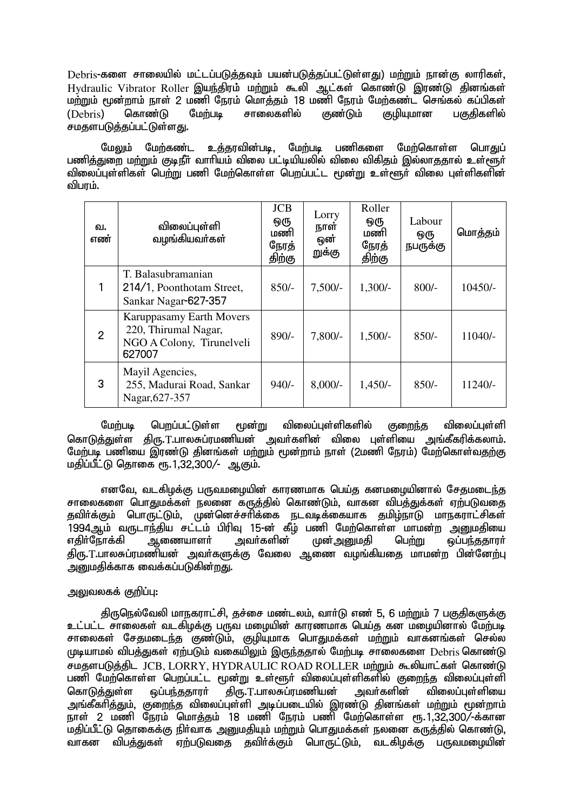Debris-களை சாலையில் மட்டப்படுத்தவும் பயன்படுத்தப்பட்டுள்ளது) மற்றும் நான்கு லாரிகள், Hydraulic Vibrator Roller இயந்திரம் மற்றும் கூலி ஆட்கள் கொண்டு இரண்டு தினங்கள் மற்றும் மூன்றாம் நாள் 2 மணி நேரம் மொத்தம் 18 மணி நேரம் மேற்கண்ட<sup>்</sup> செங்கல் கப்பிகள்<br>(Debris) கொண்டு மேற்படி சாலைகளில் குண்டும் குமியுமான பகுகிகளில் (Debris) கொண்டு மேற்படி சாலைகளில் குண்டும் குழியுமான பகுதிகளில் சமதளபடுத்தப்பட்டுள்ளது.

மேலும் மேற்கண்ட உத்தரவின்படி, மேற்படி பணிகளை மேற்கொள்ள பொதுப் பணிக்துறை ம<u>ற்று</u>ம் குடிநீர் வாரியம் விலை பட்டியியலில் விலை விகிதம் இல்லாததால் உள்ளூர் ்விலைப்புள்ளிகள் பெற்று பணி மேற்கொள்ள பெறப்பட்ட மூன்று உள்ளூர் விலை பள்ளிகளின் விபாம்.

| வ.<br>எண்      | விலைப்புள்ளி<br>வழங்கியவர்கள்                                                           | <b>JCB</b><br>ஒரு<br>மணி<br>நேரத்<br>திற்கு | Lorry<br>நாள்<br>ஔ்<br>றுக்கு | Roller<br>ஒரு<br>மணி<br>நேரத்<br>திற்கு | Labour<br>ஒரு<br>நபருக்கு | மொத்தம்   |
|----------------|-----------------------------------------------------------------------------------------|---------------------------------------------|-------------------------------|-----------------------------------------|---------------------------|-----------|
|                | T. Balasubramanian<br>214/1, Poonthotam Street,<br>Sankar Nagar-627-357                 | $850/-$                                     | $7,500/-$                     | $1,300/-$                               | $800/-$                   | $10450/-$ |
| $\overline{2}$ | Karuppasamy Earth Movers<br>220, Thirumal Nagar,<br>NGO A Colony, Tirunelveli<br>627007 | $890/-$                                     | $7,800/-$                     | $1,500/-$                               | $850/-$                   | 11040/-   |
| 3              | Mayil Agencies,<br>255, Madurai Road, Sankar<br>Nagar, 627-357                          | $940/-$                                     | $8,000/-$                     | $1,450/-$                               | $850/-$                   | $11240/-$ |

மேற்படி பெறப்பட்டுள்ள மூன்று விலைப்புள்ளிகளில் குறைந்த விலைப்புள்ளி கொடுத்துள்ள திரு.T.பாலசுப்ரமணியன் அவர்களின் விலை புள்ளியை அங்கீகரிக்கலாம். மேற்படி பணியை இரண்டு தினங்கள் மற்றும் மூன்றாம் நாள் (2மணி நேரம்) மேற்கொள்வதற்கு மதிப்பீட்டு கொகை ரூ.1.32.300/- ஆகும்.

எனவே, வடகிழக்கு பருவமழையின் காரணமாக பெய்த கனமமையினால் சேதமடைந்த சாலைகளை பொகுமக்கள் நலனை கருக்கில் கொண்டும். வாகன விபக்குக்கள் எற்படுவகை தவிா்க்கும் பொருட்டும், முன்னெச்சாிக்கை நடவடிக்கையாக தமிழ்நாடு மாநகராட்சிகள் .<br>1994ஆம் வருடாந்திய சட்டம் பிரிவு 15-ன் கீழ் பணி மேற்கொள்ள மாமன்ற அனுமதியை<br>எதிர்நோக்கி ஆணையாளர் அவர்களின் முன்அனுமதி பெற்று ஒப்பந்ததாரர் முன் <u>அனு</u>மதி திரு.T.பாலசுப்ரமணியன் அவா்களுக்கு வேலை ஆணை வழங்கியதை மாமன்ற பின்னேற்பு ்அமைகிக்காக வைக்கப்படுகின்றது.

# அலுவலகக் குறிப்பு:

திருநெல்வேலி மாநகராட்சி, தச்சை மண்டலம், வார்டு எண் 5, 6 மற்றும் 7 பகுதிகளுக்கு உட்பட்ட சாலைகள் வடகிழக்கு பருவ மழையின் காரணமாக பெய்த கன மழையினால் மேற்படி <u>சாலைகள் சேதமடைந்த குண்டும், குழியுமாக பொதுமக்கள் மற்று</u>ம் வாகனங்கள் செல்ல முடியாமல் விபத்துகள் ஏற்படும் வகையிலும் இருந்ததால் மேற்படி சாலைகளை Debris கொண்டு சமதளபடுத்திட JCB, LORRY, HYDRAULIC ROAD ROLLER மற்றும் கூலியாட்கள் கொண்டு பணி மேற்கொள்ள பெறப்பட்ட மூன்று உள்ளூர் விலைப்புள்ளிகளில் குறைந்த விலைப்புள்ளி<br>கொடுக்குள்ள வப்பந்கதாரர் கிரு..T.பாலசுப்ரமணியன் அவர்களின் விலைப்பள்ளியை கொடுத்துள்ள ஒப்பந்ததாரர் திரு.T.பாலசுப்ரமணியன் அவர்களின் விலைப்பள்ளியை ுங்கீகரிக்கும். குறைந்த விலைப்பள்ளி அடிப்படையில் இாண்டு கினங்கள் மற்றும் மூன்றாம். நாள் 2 மணி நேரம் மொத்தம் 18 மணி நேரம் பணி மேற்கொள்ள ரூ.1,32,300/-க்கான .<br>மதிப்பீட்டு தொகைக்கு நிர்வாக அறுமதியும் மற்றும் பொதுமக்கள் நலனை கருத்தில் கொண்டு, வாகன விபக்துகள் ஏற்படுவதை தவிர்க்கும் பொருட்டும். வடகிமக்கு பருவமழையின்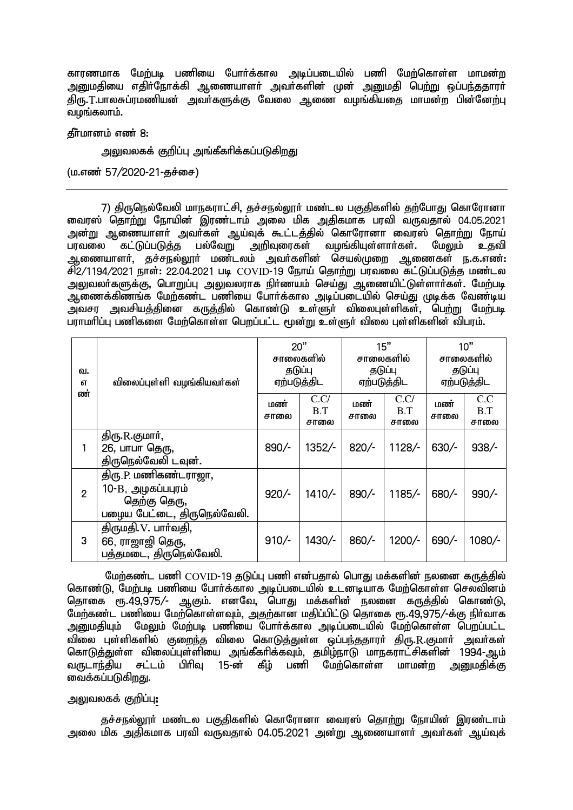காரணமாக மேற்படி பணியை போர்க்கால அடிப்படையில் பணி மேற்கொள்ள மாமன்ற அனுமதியை எதிர்நோக்கி ஆணையாளர் அவர்களின் முன் <u>அனும</u>தி பெ<u>ற்று</u> ஒப்பந்ததாரர் திரு.T.பாலசுப்ரமணியன் அவா்களுக்கு வேலை ஆணை வழங்கியதை மாமன்ற பின்னேற்பு .<br>வமங்கலாம்.

 $f$ சீர்மானம் எண் $8:$ 

அலுவலகக் குறிப்பு அங்கீகரிக்கப்படுகிறது

 $(\text{u}.\text{a}$ னர் 57/2020-21-தச்சை)

7) கிருநெல்வேலி மாநகராட்சி, சுச்சநல்லார் மண்டல பகுகிகளில் கற்போகு கொரோனா .<br>நைவரஸ் தொற்று நோயின் இரண்டாம் அலை மிக அதிகமாக பரவி வருவதால் 04.05.2021 அன்று ஆணையாளர் அவர்கள் ஆய்வுக் கூட்டத்தில் கொரோனா வைரஸ் தொற்று நோய்<br>பரவலை கட்டுப்படுத்த பல்வேறு அறிவுரைகள் வழங்கியுள்ளார்கள். மேலும் உகவி பரவலை கட்டுப்படுத்த பல்வேறு அறிவுரைகள் வழங்கியுள்ளார்கள். மேலும் உதவி அ்ணையாளர், தச்சநல்லூர் மண்டலம் அவர்களின் செயல்முறை ஆணைகள் ந.க.எண்: சி2/1194/2021 நாள்: 22.04.2021 படி COVID-19 நோய் தொற்று பரவலை கட்டுப்படுத்த மண்டல அலுவலர்களுக்கு, பொறுப்பு அலுவலராக நிர்ணயம் செய்து ஆணையிட்டுள்ளார்கள். மேற்படி ு;<br>ஆணைக்கிணங்க மேற்கண்ட பணியை போர்க்கால அடிப்படையில் செய்து முடிக்க வேண்டிய ு;<br>அவசர அவசியத்தினை கருத்தில் கொண்டு உள்ளுர் விலைபுள்ளிகள், பெற்று மேற்படி பராமரிப்பு பணிகளை மேற்கொள்ள பெறப்பட்ட மூன்று உள்ளுர் விலை பள்ளிகளின் விபரம்.

| வ.<br>எ        | விலைப்புள்ளி வழங்கியவர்கள்                                                              | 20"<br>சாலைகளில்<br>தடுப்பு<br>ஏற்படுத்திட |                     | 15"<br>சாலைகளில்<br>தடுப்பு<br>ஏற்படுத்திட |                     | 10"<br>சாலைகளில்<br>தடுப்பு<br>ஏற்படுத்திட |                    |
|----------------|-----------------------------------------------------------------------------------------|--------------------------------------------|---------------------|--------------------------------------------|---------------------|--------------------------------------------|--------------------|
| ண்             |                                                                                         | மண்<br>சாலை                                | C.C/<br>B.T<br>சாலை | மண்<br>சாலை                                | C.C/<br>B.T<br>சாலை | மண்<br>சாலை                                | C.C<br>B.T<br>சாலை |
|                | திரு.R.குமார்,<br>26, பாபா தெரு,<br>திருநெல்வேலி டவுன்.                                 | 890/-                                      | 1352/-              | $820/-$                                    | $1128/$ -           | $630/-$                                    | $938/-$            |
| $\overline{2}$ | திரு.P. மணிகண்டராஜா,<br>10-B, அழகப்பபுரம்<br>தெற்கு தெரு,<br>பழைய பேட்டை, திருநெல்வேலி. | $920/-$                                    | $1410/-$            | $890/-$                                    | $1185/-$            | 680/-                                      | $990/-$            |
| 3              | திருமதி. V. பார்வதி,<br>66, ராஜாஜி தெரு,<br>பத்தமடை, திருநெல்வேலி.                      | $910/-$                                    | 1430/-              | $860/-$                                    | 1200/-              | 690/-                                      | 1080/-             |

மேற்கண்ட பணி  $\mathrm{COVID}$ -19 தடுப்பு பணி என்பதால் பொது மக்களின் நலனை கருத்தில் கொண்டு, மேற்படி பணியை போர்க்கால அடிப்படையில் உடனடியாக மேற்கொள்ள செலவினம் தொகை ரூ.49,975/- ஆகும். எனவே, பொது மக்களின் நலனை கருத்தில் கொண்டு, மேற்கண்ட பணியை மேற்கொள்ளவும், அதற்கான மதிப்பிட்டு தொகை ரூ.49,975/-க்கு நிர்வாக <u>அனுமதியும் மேலும் மேற்படி பணியை போர்க்கால அடிப்படையில் மேற்கொள்ள பெறப்பட்ட</u> <u>வி</u>லை புள்ளிகளில் குறைந்த விலை கொடுத்துள்ள ஒப்பந்ததாரர் திரு..R.குமார் அவர்கள் கொடுத்துள்ள விலைப்புள்ளியை அங்கீகரிக்கவும், தமிழ்நாடு மாநகராட்சிகளின் 1994-ஆம்<br>வருடாந்திய சட்டம் பிரிவ 15-ன் கீம் பணி மேற்கொள்ள மாமன்ற அறைகிக்கு வருடாந்திய சட்டம் பிரிவ 15-ன் கீம் பணி வைக்கப்படுகிறது.

## அலுவலகக் குறிப்பு:

தச்சநல்லூர் மண்டல பகுதிகளில் கொரோனா வைரஸ் தொற்று நோயின் இரண்டாம் அலை மிக அதிகமாக பரவி வருவதால் 04.05.2021 அன்று ஆணையாளர் அவர்கள் ஆய்வுக்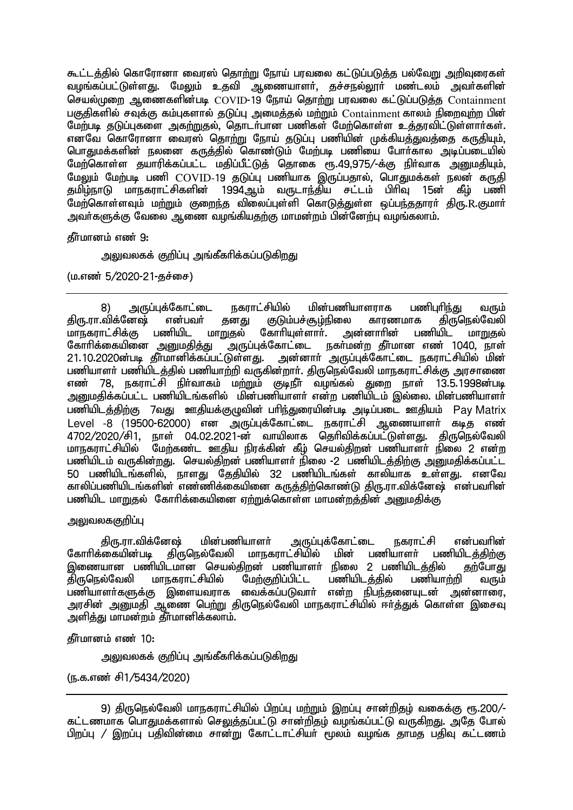கூட்டத்தில் கொரோனா வைரஸ் தொற்று நோய் பரவலை கட்டுப்படுத்த பல்வேறு அறிவுரைகள் வழங்கப்பட்டுள்ளது. மேலும் உதவி ஆணையாளர், தச்சநல்லூர் மண்டலம் அவர்களின் செயல்முறை ஆணைகளின்படி COVID-19 நோய் தொற்று பரவலை கட்டுப்படுத்த Containment பகுகிகளில் சவக்கு கம்பகளால் கடுப்ப அமைக்கல் மற்றும்  $\Gamma$ ontainment காலம் நிறைவற்ற பின் மேற்படி தடுப்புகளை அகற்றுதல், தொடர்பான பணிகள் மேற்கொள்ள உத்தரவிட்டுள்ளார்கள். எனவே கொரோனா வைரஸ் தொற்று நோய் தடுப்பு பணியின் முக்கியத்துவத்தை கருதியும், பொதுமக்களின் நலனை கருத்தில் கொண்டும் மேற்படி பணியை போர்கால அடிப்படையில் மேற்கொள்ள குயாரிக்கப்பட்ட மகிப்பீட்டுக் கொகை ரூ.49.975/-க்கு நிர்வாக அறைமகியும். மேலும் மேற்படி பணி  $\rm COVID$ -19 தடுப்பு பணியாக இருப்பதால், பொதுமக்கள் நலன் கருதி<br>கமிம்நாடு மாநகராட்சிகளின் 1994ஆம் வருடாந்கிய சட்டம் பிரிவ 15ன் கீம் பணி தமிழ்நாடு மாநகராட்சிகளின் 1994ஆம் வருடாந்திய சட்டம் பிரிவு 15ன் மேற்கொள்ளவும் ம<u>ற்ற</u>ும் குறைந்த விலைப்புள்ளி கொடுத்துள்ள ஒப்பந்ததாரா் திரு.R.குமாா் அவர்களுக்கு வேலை ஆணை வழங்கியதற்கு மாமன்றம் பின்னேற்பு வழங்கலாம்.

தீர்மானம் எண் 9:

அலுவலகக் குறிப்பு அங்கீகரிக்கப்படுகிறது

 $(\text{u}.\text{m}$ ண் 5/2020-21-தச்சை)

8) அருப்புக்கோட்டை நகராட்சியில் மின்பணியாளராக பணிபுரிந்து வரும்<br>.விக்னேஷ் என்பவர் தனது குடும்பச்சூழ்நிலை காரணமாக கிருகொல்வேலி திரு.ரா.விக்னேஷ் என்பவா் தனது குடும்பச்சூழ்நிலை காரணமாக திருநெல்வேலி<br>மாநகராட்சிக்கு பணியிட மாறுகல் கோாியுள்ளாா். அன்னாாின் பணியிட மாறுகல் மாநகராட்சிக்கு பணியிட மா<br>கோரிக்கையினை <u>அனுமதித்து</u> கோரிக்கையினை அனுமதித்து ¯அருப்புக்கோட்டை நகா்மன்ற தீா்மான எண் 1040, நாள்<br>21.10.2020ன்படி தீா்மானிக்கப்பட்டுள்ளது. அன்னாா் அருப்புக்கோட்டை நகராட்சியில் மின் ் அன்னாா் அருப்புக்கோட்டை நகராட்சியில் மின் பணியாளர் பணியிடத்தில் பணியாற்றி வருகின்றார். திருநெல்வேலி மாநகராட்சிக்கு அரசாணை எண் 78, நகராட்சி நிர்வாகம் மற்றும் குடிநீர் வழங்கல் துறை நாள் 13.5.1998ன்படி அறுமதிக்கப்பட்ட பணியிடங்களில் மின்பணியாளர் என்ற பணியிடம் இல்லை. மின்பணியாளர் பணியிடக்கிற்கு 7வது ஊகியக்குமுவின் பரிந்துரையின்படி அடிப்படை ஊகியம் Pay Matrix Level -8 (19500-62000) என அருப்புக்கோட்டை நகராட்சி ஆணையாளர் கடித எண் 4702/2020/சி1, நாள் 04.02.2021-ன் வாயிலாக தெரிவிக்கப்பட்டுள்ளது. திருநெல்வேலி<br>மாநகராட்சியில் மேற்கண்ட ஊதிய நிரக்கின் கீம் செயல்திறன் பணியாளர் நிலை 2 என்ற .<br>மேற்கண்ட ஊதிய நிரக்கின் கீம் செயல்கிறன் பணியாளர் நிலை 2 என்ற பணியிடம் வருகின்றது. செயல்கிறன் பணியாளர் நிலை -2 பணியிடக்கிற்கு அறையகிக்கப்பட்ட 50 பணியிடங்களில், நாளது தேதியில் 32 பணியிடங்கள் காலியாக உள்ளது. எனவே ்காலிப்பணியிடங்களின் எண்ணிக்கையினை கருத்திற்கொண்டு திரு.ரா.விக்னேஷ் என்பவரின் பணியிட மாறுதல் கோரிக்கையினை ஏற்றுக்கொள்ள மாமன்றத்தின் அனுமதிக்கு

அலுவலககுறிப்பு

திரு.ரா.விக்னேஷ் மின்பணியாளா் அருப்புக்கோட்டை நகராட்சி என்பவாின்<br>தோாிக்கையின்படி கிருநெல்வேலி மாநகராட்சியில் மின் பணியாளா் பணியிடக்கிா்கு கோரிக்கையின்படி திருநெல்வேலி மாநகராட்சியில் மின் பணியாளர் பணியிடத்திற்கு இணையான பணியிடமான செயல்திறன் பணியாளர் நிலை 2 பணியிடத்தில் தற்போது ்திருநெல்வேலி மாநகராட்சியில் மேற்குறிப்பிட்ட பணியிடத்தில் பணியாற்றி வரும் பணியாளர்களுக்கு இளையவராக வைக்கப்படுவார் என்ற நிபந்தனையுடன் அன்னாரை, <u>அரசின் அனுமதி ஆணை பெற்று திருநெ</u>ல்வேலி மாநகராட்சியில் ஈர்த்துக் கொள்ள இசைவு அளித்து மாமன்றம் தீர்மானிக்கலாம்.

கீர்மானம் எண் $10:$ 

அலுவலகக் குறிப்பு அங்கீகரிக்கப்படுகி<u>றத</u>ு

(ந.க.எண் சி1/5434/2020)

9) திருநெல்வேலி மாநகராட்சியில் பிறப்பு மற்றும் இறப்பு சான்றிதழ் வகைக்கு ரூ.200/-கட்டணமாக பொதுமக்களால் செ<u>லுத்த</u>ப்பட்டு சான்றிதம் வமங்கப்பட்டு வருகிறது. அகே போல் பிறப்பு / இறப்பு பகிவின்மை சான்று கோட்டாட்சியர் மூலம் வழங்க காமக பகிவு கட்டணம்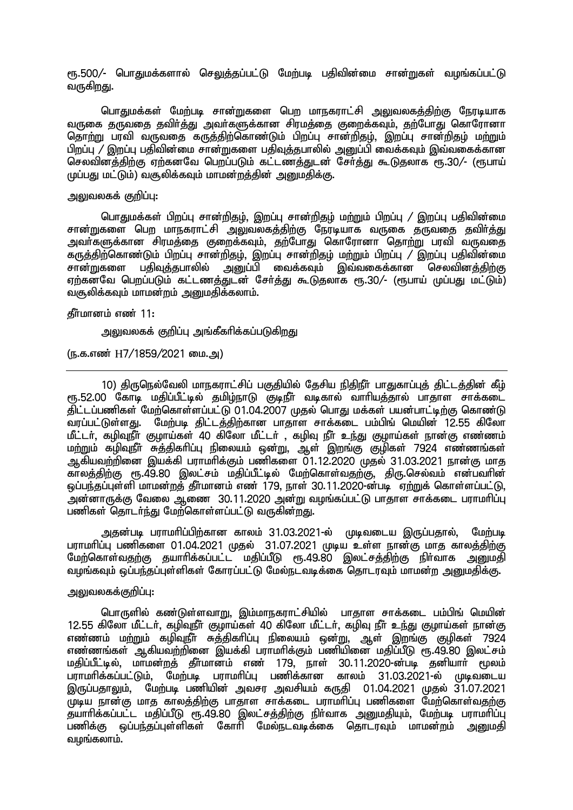ரூ.500/- பொதுமக்களால் செலுத்தப்பட்டு மேற்படி பதிவின்மை சான்றுகள் வழங்கப்பட்டு வருகிறது.

பொதுமக்கள் மேற்படி சான்றுகளை பெற மாநகராட்சி அலுவலகக்கிற்கு நேரடியாக ்வருகை தருவதை தவிர்த்து அவர்களுக்கான சிரமத்தை குறைக்கவும், தற்போது கொரோனா தொற்று பரவி வருவதை கருத்திற்கொண்டும் பிறப்பு சான்றிதழ், இறப்பு சான்றிதழ் மற்றும் பிறப்பு / இறப்பு பதிவின்மை சான்றுகளை பதிவுத்தபாலில் அனுப்பி வைக்கவும் இவ்வகைக்கான செலவின்த்திற்கு ஏற்கனவே பெறப்படும் கட்டணத்துடன் சேர்த்து கூடுதலாக ரூ.30/- (ரூபாய் முப்பது மட்டும்) வசூலிக்கவும் மாமன்றக்கின் அறைகிக்கு.

## அலுவலகக் குறிப்பு $:$

பொதுமக்கள் பிறப்பு சான்றிதம், இறப்பு சான்றிதம் மற்றும் பிறப்பு / இறப்பு பதிவின்மை சான்றுகளை பெற மாநகராட்சி அலுவலகக்கிற்கு நோடியாக வருகை குருவகை கவிர்க்கு அவர்களுக்கான சிரமத்தை குறைக்கவும், தற்போது கொரோனா தொற்று பரவி வருவதை கருத்திற்கொண்டும் பிறப்பு சான்றிதழ், இறப்பு சான்றிதழ் மற்றும் பிறப்பு / இறப்பு பதிவின்மை சான்றுகளை பதிவுத்தபாலில் அனுப்பி வைக்கவும் இவ்வகைக்கான செலவினத்திற்கு ஏற்கனவே பெறப்படும் கட்டணத்துடன் சேர்த்து கூடுதலாக ரூ.30/- (ரூபாய் முப்பது மட்டும்) வசூலிக்கவும் மாமன்றம் அறுமதிக்கலாம்.

## கீர்மானம் எண் $11:$

அலுவலகக் குறிப்பு அங்கீகரிக்கப்படுகிறது

(ந.க.எண் H7/1859/2021 மை.அ)

10) கிருநெல்வேலி மாநகாாட்சிப் பகுகியில் கேசிய நிகிநீர் பாகுகாப்பக் கிட்டக்கின் கீம் ரு.52.00 கோடி மதிப்பீட்டில் தமிழ்நாடு குடிநீர் வடிகால் வாரியத்தால் பாதாள சாக்கடை திட்டப்பணிகள் மேற்கொள்ளப்பட்டு 01.04.2007 முதல் பொது மக்கள் பயன்பாட்டிற்கு கொண்டு<br>வாப்பட்டுள்ளது. மேற்படி திட்டத்திற்கான பாதாள சாக்கடை பம்பிங் மெயின் 12.55 கிலோ மேற்படி திட்டத்திற்கான பாதாள சாக்கடை பம்பிங் மெயின் 12.55 கிலோ மீட்டர், கழிவுநீர் குழாய்கள் 40 கிலோ மீட்டர் , கழிவு நீர் உந்து குழாய்கள் நான்கு எண்ணம் மற்றும் கழிவுநீர் சுத்திகரிப்பு நிலையம் ஒன்று, ஆள் இறங்கு குழிகள் 7924 எண்ணங்கள் <u>ஆகியவற்றி</u>னை இயக்கி பராமரிக்கும் பணிகளை 01.12.2020 முதல் 31.03.2021 நான்கு மாத காலத்திற்கு ரூ.49.80 இலட்சம் மதிப்பீட்டில் மேற்கொள்வதற்கு, திரு.செல்வம் என்பவரின் <u>ூப்பந்தப்புள்ளி மாமன்றத்</u> தீர்மானம் எண் 179. நாள் 30.11.2020-ன்படி ஏற்றுக் கொள்ளப்பட்டு. .<br>அன்னாருக்கு வேலை ஆணை 30.11.2020 அன்று வழங்கப்பட்டு பாதாள சாக்கடை பராமரிப்பு பணிகள் கொடர்ந்து மேற்கொள்ளப்பட்டு வருகின்றது.

அதன்படி பராமரிப்பிற்கான காலம் 31.03.2021-ல் முடிவடைய இருப்பதால், மேற்படி பராமரிப்பு பணிகளை 01.04.2021 முதல் 31.07.2021 முடிய உள்ள நான்கு மாத காலத்திற்கு மேற்கொள்வதற்கு தயாரிக்கப்பட்ட மதிப்பீடு ரூ.49.80 இலட்சத்திற்கு நிர்வாக அனுமதி வழங்கவும் ஒப்பந்தப்புள்ளிகள் கோரப்பட்டு மேல்நடவடிக்கை தொடரவும் மாமன்ற அனுமதிக்கு.

## <u>அலுவலகக்குறிப்பு:</u>

பொருளில் கண்டுள்ளவாறு, இம்மாநகராட்சியில் பாதாள சாக்கடை பம்பிங் மெயின் 12.55 கிலோ மீட்டர், கழிவுநீர் குழாய்கள் 40 கிலோ மீட்டர், கழிவு நீர் உந்து குழாய்கள் நான்கு எண்ணம் மற்றும் கழிவுநீர் சுத்திகரிப்பு நிலையம் ஒன்று, ஆள் இறங்கு குழிகள் 7924 எண்ணங்கள் ஆகியவற்றினை இயக்கி பாாமரிக்கும் பணியினை மகிப்பீடு ரூ.49.80 இலட்சம் மதிப்பீட்டில், மாமன்றத் தீர்மானம் எண் 179, நாள் 30.11.2020-ன்படி தனியார் மூலம் பராமரிக்கப்பட்டும், மேற்படி பராமரிப்பு பணிக்கான காலம் 31.03.2021-ல் முடிவடைய இருப்பதாலும், மேற்படி பணியின் அவசர அவசியம் கருதி 01.04.2021 முதல் 31.07.2021 Kba ehd;F khj fhyj;jpw;F ghjhs rhf;fil guhkhpg;G gzpfis Nkw;nfhs;tjw;F தயாரிக்கப்பட்ட மதிப்பீடு சந. 49.80 இலட்சத்திற்கு நிர்வாக அறைகியும், மேற்படி பராமரிப்பு பணிக்கு ஒப்பந்தப்புள்ளிகள் கோரி மேல்நடவடிக்கை கொடாவும் மாமன்றம் அறைகி வழங்கலாம்.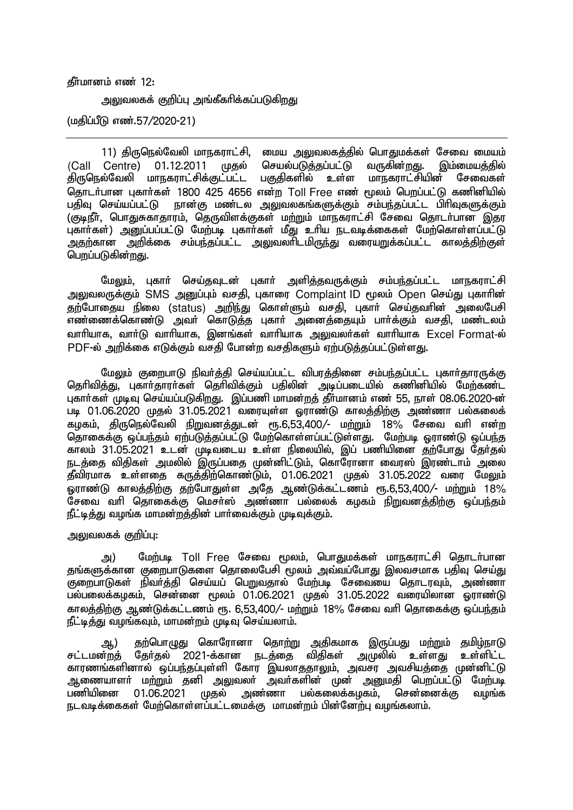### கீர்மானம் எண் $12$ :

அலுவலகக் குறிப்பு அங்கீகரிக்கப்படுக<u>ிறத</u>ு

(மதிப்பீடு எண்.57/2020-21)

11) திருநெல்வேலி மாநகராட்சி, மைய அலுவலகத்தில் பொதுமக்கள் சேவை மையம் (Call Centre) 01.12.2011 முதல் செயல்படுத்தப்பட்டு வருகின்றது. இம்மையத்தில்<br>திருநெல்வேலி மாநகராட்சிக்குட்பட்ட பகுதிகளில் உள்ள மாநகராட்சியின் சேவைகள் ்திருநெல்வேலி மாநகராட்சிக்குட்பட்ட தொடர்பான புகார்கள் 1800 425 4656 என்ற Toll Free எண் மூலம் பெறப்பட்டு கணினியில் பதிவு செய்யப்பட்டு நான்கு மண்டல அலுவலகங்களுக்கும் சம்பந்தப்பட்ட பிரிவுகளுக்கும் (குடிநீர், பொதுசுகாதாரம், தெருவிளக்குகள் ம<u>ற்று</u>ம் மாநகராட்சி சேவை தொடர்பான இகுர புகார்கள்) அனுப்பப்பட்டு மேற்படி புகார்கள் மீது உரிய நடவடிக்கைகள் மேற்கொள்ளப்பட்டு .<br>அதற்கான அறிக்கை சம்பந்தப்பட்ட அலுவலாிடமிருந்து வரையறுக்கப்பட்ட காலத்திற்குள் பெறப்படுகின்றது.

மேலும், புகார் செய்தவுடன் புகார் அளித்தவருக்கும் சம்பந்தப்பட்ட மாநகராட்சி அலுவலருக்கும் SMS அனுப்பும் வசதி, புகாரை Complaint ID மூலம் Open செய்து புகாரின் தற்போதைய நிலை (status) அறிந்து கொள்ளும் வசதி, புகார் செய்தவரின் அலைபேசி எண்ணைக்கொண்டு அவர் கொடுத்த புகார் அனைத்தையும் பார்க்கும் வசதி, மண்டலம் வாரியாக, வார்டு வாரியாக, இனங்கள் வாரியாக அலுவலர்கள் வாரியாக Excel Format-ல் PDF-ல் அறிக்கை எடுக்கும் வசதி போன்ற வசதிகளும் ஏற்படுத்தப்பட்டுள்ளது.

மேலும் குறைபாடு நிவர்த்தி செய்யப்பட்ட விபரத்தினை சம்பந்தப்பட்ட புகார்தாரருக்கு கெரிவிக்கு, பகார்காார்கள் கெரிவிக்கும் பகிலின் அடிப்படையில் கணினியில் மேற்கண்ட புகார்கள் முடிவு செய்யப்படுகிறது. இப்பணி மாமன்றத் தீர்மானம் எண் 55, நாள் 08.06.2020-ன் படி 01.06.2020 முதல் 31.05.2021 வரையுள்ள ஓராண்டு காலத்திற்கு அண்ணா பல்கலைக் கழகம், திருநெல்வேலி நிறுவனத்துடன் ரூ.6,53,400/- மற்றும் 18% சேவை வரி என்ற ு கொகைக்கு ஒப்பந்தம் ஏற்படுத்தப்பட்டு மேற்கொள்ளப்பட்டுள்ளது. மேற்படி ஓராண்டு ஒப்பந்த காலம் 31.05.2021 உடன் முடிவடைய உள்ள நிலையில், இப் பணியினை தற்போது தேர்தல் நடத்தை விதிகள் அமலில் இருப்பதை முன்னிட்டும், கொரோனா வைரஸ் இரண்டாம் அலை ்தீவிரமாக உள்ளதை கருத்திற்கொண்டும், 01.06.2021 முதல் 31.05.2022 வரை மேலும் <u>ஒராண்டு காலத்திற்கு தற்</u>போதுள்ள அதே ஆண்டுக்கட்டணம் ரூ.6,53,400/- மற்றும் 18% .<br>சேவை வரி தொகைக்கு மெசர்ஸ் அண்ணா பல்லைக் கமகம் நிறுவனக்கிற்கு ஒப்பந்தம் .<br>நீட்டித்து வழங்க மாமன்றத்தின் பார்வைக்கும் முடிவுக்கும்.

## அலுவலகக் குறிப்பு:

அ) மேற்படி Toll Free சேவை மூலம், பொதுமக்கள் மாநகராட்சி தொடர்பான தங்களுக்கான குறைபாடுகளை கொலைபேசி மூலம் அவ்வப்போது இலவசமாக பதிவு செய்து சுறைபாடுகள் நிவர்த்தி செய்யப் பெறுவதால் மேற்படி சேவையை தொடரவும், அண்ணா பல்பலைக்கழகம், சென்னை மூலம் 01.06.2021 முதல் 31.05.2022 வரையிலான ஒராண்டு காலத்திற்கு ஆண்டுக்கட்டணம் ரூ. 6.53.400/- மற்றும் 18% சேவை வரி தொகைக்கு ஓப்பந்தம் நீட்டிக்கு வமங்கவம். மாமன்றம் முடிவ செய்யலாம்.

ஆ) தற்பொழுது கொரோனா தொற்று அதிகமாக இருப்பது மற்றும் தமிழ்நாடு<br><del>ர்</del>றத் தேர்தல் 2021-க்கான நடத்தை விதிகள் அமுலில் உள்ளது உள்ளிட்ட சட்டமன்றத் தேர்தல் 2021-க்கான நடத்தை விதிகள் .<br>காரணங்களினால் ஒப்பந்தப்புள்ளி கோர இயலாததாலும், அவசர அவசியத்தை முன்னிட்டு ஆணையாளா் மற்றும் தனி அலுவலா் அவா்களின் முன் அனுமதி பெறப்பட்டு மேற்படி<br>பணியினை 01.06.2021 முகல் அண்ணா பல்கலைக்கமகம். சென்னைக்கு வமங்க அண்ணா பல்கலைக்கமகம். நடவடிக்கைகள் மேற்கொள்ளப்பட்டமைக்கு மாமன்றம் பின்னேற்பு வழங்கலாம்.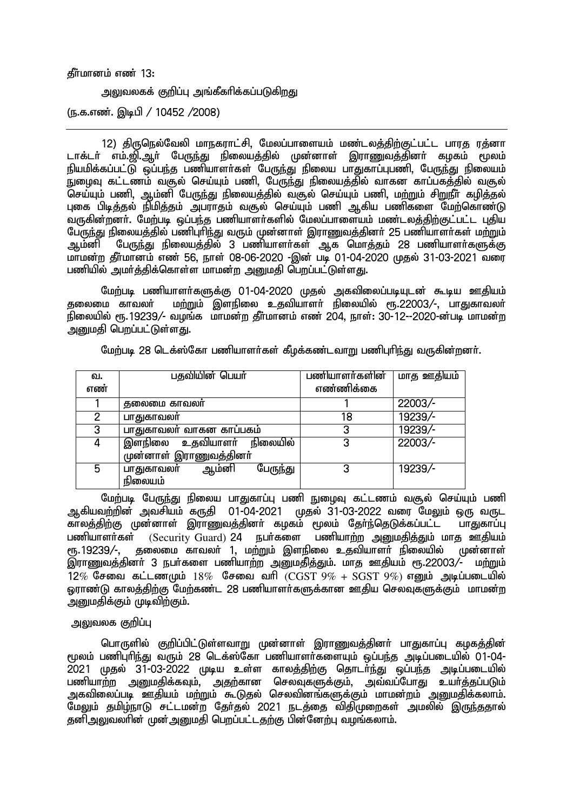தீர்மானம் எண் 13:

அலுவலகக் குறிப்பு அங்கீகரிக்கப்படுகிறது

(ந.க.எண். இடிபி / 10452 /2008)

12) திருநெல்வேலி மாநகராட்சி, மேலப்பாளையம் மண்டலத்திற்குட்பட்ட பாரத ரத்னா டாக்டர் எம்.<u>வி. ஆ</u>ர் பேருந்து நிலையத்தில் முன்னாள் இராணுவத்தினர் கழகம் மூலம் நியமிக்கப்பட்டு ஒப்பந்த பணியாளா்கள் பேருந்து நிலைய பாதுகாப்புபணி, பேருந்து நிலையம் EioT fl;lzk; t#y; nra;Ak; gzp> NgUe;J epiyaj;jpy; thfd fhg;gfj;jpy; t#y; செய்யும் பணி, ஆம்னி பேருந்து நிலையத்தில் வசூல் செய்யும் பணி, மற்றும் சிறுநீர் கழித்தல் புகை பிடித்தல் நிமித்தம் அபராதம் வசூல் செய்யும் பணி ஆகிய பணிகளை மேற்கொண்டு ் வருகின்றனர். மேற்படி ஒப்பந்த பணியாளர்களில் மேலப்பாளையம் மண்டலத்திற்குட்பட்ட புதிய பேருந்து நிலையத்தில் பணிபுரிந்து வரும் முன்னாள் இராணுவத்தினா் 25 பணியாளா்கள் மற்றும்<br>ஆம்னி பேருந்து நிலையத்தில் 3 பணியாளா்கள் ஆக மொத்தம் 28 பணியாளா்களுக்கு ் பேருந்து நிலையத்தில் 3 பணியாளர்கள் ஆக மொத்தம் 28 பணியாளர்களுக்கு மாமன்ற தீர்மானம் எண் 56, நாள் 08-06-2020 -இன் படி 01-04-2020 முதல் 31-03-2021 வரை பணியில் அமர்க்கிக்கொள்ள மாமன்ற அறைமகி பொப்பட்டுள்ளது.

மேற்படி பணியாளா்களுக்கு 01-04-2020 முதல் அகவிலைப்படியுடன் கூடிய ஊதியம்<br>தலைமை காவலா் மற்றும் இளநிலை உகவியாளா் நிலையில் ரூ.22003/-. பாகுகாவலா் ் மற்றும் இளநிலை உதவியாளா் நிலையில் ரூ.22003/- பாதுகாவலா் நிலையில் ரூ. 19239/- வழங்க மாமன்ற தீர்மானம் எண் 204, நாள்: 30-12--2020-ன்படி மாமன்ற அனுமதி பெறப்பட்டுள்ளது.

| வ.  | பதவியின் பெயர்                  | பணியாளர்களின் | மாத ஊதியம் |
|-----|---------------------------------|---------------|------------|
| எண் |                                 | எண்ணிக்கை     |            |
|     | தலைமை காவலர்                    |               | 22003/-    |
|     | பாதுகாவலர்                      | 18            | 19239/-    |
| 3   | பாதுகாவலர் வாகன காப்பகம்        | 3             | 19239/-    |
|     | நிலையில்<br>உதவியாளர்<br>இளநிலை | 3             | 22003/-    |
|     | முன்னாள் இராணுவத்தினா்          |               |            |
| 5   | பேருந்து<br>ஆம்னி<br>பாதுகாவலர் | 3             | 19239/-    |
|     | நிலையம்                         |               |            |

மேற்படி 28 டெக்ஸ்கோ பணியாளர்கள் கீழக்கண்டவாறு பணிபுரிந்து வருகின்றனர்.

மேற்படி பேருந்து நிலைய பாதுகாப்பு பணி நுழைவு கட்டணம் வசூல் செய்யும் பணி ஆகியவற்றின் அவசியம் கருதி 01-04-2021 முதல் 31-03-2022 வரை மேலும் ஒரு வருட<br>காலக்கிற்கு முன்னாள் இாாணவக்கினர் கமகம் மலம் கோ்ந்கெடுக்கப்பட்ட பாகுகாப்ப ு.<br>காலத்திற்கு முன்னாள் இராணுவத்தினா் கழகம் மூலம் தோ்ந்தெடுக்கப்பட்ட பணியாளா்கள் (Security Guard) 24 நபா்களை பணியாற்ற அனுமதித்தும் மாத ஊதியம்<br>ரூ. 19239/-, தலைமை காவலா் 1, மா்றும் இளநிலை உகவியாளா் நிலையில் மன்னாள் &.19239/-> jiyik fhtyh; 1> kw;Wk; ,sepiy cjtpahsh; epiyapy; Kd;dhs; இராணுவத்தினர் 3 நபர்களை பணியாற்ற அனுமதித்தும். மாத ஊதியம் ரூ.22003/- மற்றும்  $12\%$  சேவை கட்டணமும்  $18\%$  சேவை வரி $\overline{(CGST\ 9\% + SGST\ 9\%)}$  எனும் அடிப்படையில் **ஒராண்டு காலத்திற்கு மேற்கண்ட 28 பணியாளர்க**ளுக்கான ஊதிய செலவுகளுக்கும் மாமன்ற ு **ஹ**மகிக்கும் முடிவிற்கும்.

### அலுவலக குறிப்பு

பொருளில் குறிப்பிட்டுள்ளவாறு முன்னாள் இராணுவத்தினர் பாதுகாப்பு கழகத்தின் மூலம் பணிபுரிந்து வரும் 28 டெக்ஸ்கோ பணியாளர்களையும் ஒப்பந்த அடிப்படையில் 01-04-2021 முதல் 31-03-2022 முடிய உள்ள காலத்திற்கு தொடர்ந்து ஒப்பந்த அடிப்படையில் பணியாற்ற <u>அனுமதி</u>க்கவும், அதற்கான செலவுகளுக்கும், அவ்வப்போது உயர்த்தப்படும் .<br>அகவிலைப்படி ஊகியம் மற்றும் கூடுகல் செலவினங்களுக்கும் மாமன்றம் அறுமகிக்கலாம். மேலும் தமிழ்நாடு சட்டமன்ற தேர்தல் 2021 நடத்தை விதிமுறைகள் அமலில் இருந்ததால் தனிஅலுவலாின் முன்அனுமதி பெறப்பட்டதற்கு பின்னேற்பு வழங்கலாம்.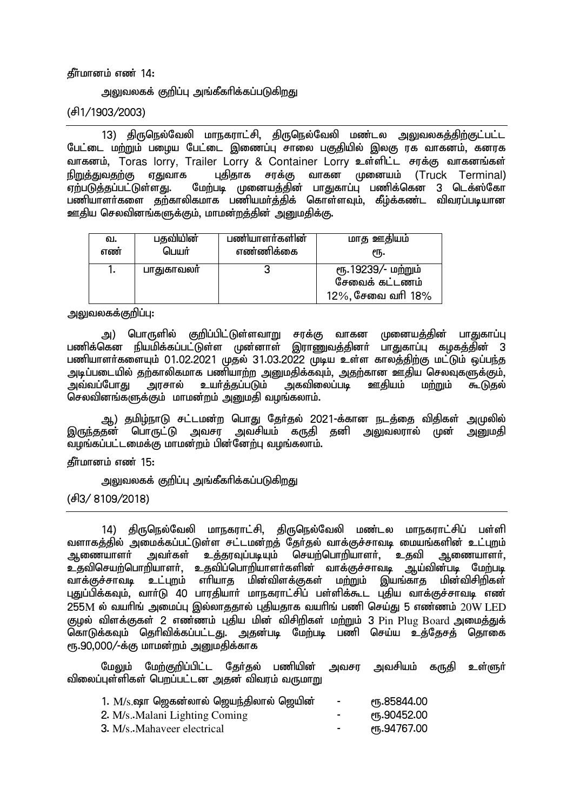#### தீர்மானம் எண் 14:

அலுவலகக் குறிப்பு அங்கீகரிக்கப்படுக<u>ிறத</u>ு

(rp1/1903/2003)

13) திருநெல்வேலி மாநகராட்சி, திருநெல்வேலி மண்டல <u>அலு</u>வலக<u>த்திற்கு</u>ட்பட்ட பேட்டை மற்றும் பழைய பேட்டை இணைப்பு சாலை பகுதியில் இலகு ரக வாகனம், கனரக வாகனம், Toras lorry, Trailer Lorry & Container Lorry உள்ளிட்ட சரக்கு வாகனங்கள்<br>நிறுத்துவதற்கு ஏதுவாக புதிதாக சரக்கு வாகன முனையம் (Truck Terminal) நிறுத்துவதற்கு ஏதுவாக புதிதாக சரக்கு வாகன முனையம் (Truck Terminal)<br>ஏற்படுத்தப்பட்டுள்ளது. மேற்படி முனையத்தின் பாதுகாப்பு பணிக்கென 3 டெக்ஸ்கோ மேற்படி முனையத்தின் பாதுகாப்பு பணிக்கென 3 டெக்ஸ்கோ பணியாளர்களை தற்காலிகமாக பணியமர்த்திக் கொள்ளவும், கீழ்க்கண்ட விவரப்படியான ஊதிய செலவினங்களுக்கும், மாமன்றத்தின் அனுமதிக்கு.

| வ.  | பதவியின்   | பணியாளர்களின் | மாத ஊதியம்                                                |
|-----|------------|---------------|-----------------------------------------------------------|
| எண் | பெயர்      | எண்ணிக்கை     | еҧ.                                                       |
|     | பாதுகாவலா் |               | ரூ.19239/- மற்றும்<br>சேவைக் கட்டணம்<br>12%, சேவை வரி 18% |

<u>அலுவலகக்குறிப்பு:</u>

அ) பொருளில் குறிப்பிட்டுள்ளவாறு சரக்கு வாகன முனையத்தின் பாதுகாப்பு<br>கென நியமிக்கப்பட்டுள்ள முன்னாள் இராணுவக்கினர் பாகுகாப்பு கமகக்கின் 3 பணிக்கென நியமிக்கப்பட்டுள்ள முன்னாள் இராணுவத்தினர் பணியாளர்களையும் 01.02.2021 முதல் 31.03.2022 முடிய உள்ள காலத்திற்கு மட்டும் ஒப்பந்த அடிப்படையில் தற்காலிகமாக பணியாற்ற அனுமதிக்கவும், அதற்கான ஊதிய செலவுகளுக்கும்,<br>அவ்வப்போது அரசால் உயர்த்தப்படும் அகவிலைப்படி ஊதியம் மற்றும் கூடுதல் உயர்த்தப்படும் அகவிலைப்படி ஊதியம் மற்றும் கூடுதல் செலவினங்களுக்கும் மாமன்றம் அனுமதி வழங்கலாம்.

ஆ) தமிழ்நாடு சட்டம<mark>ன்</mark>ற பொது தேர்தல் 2021-க்கான நடத்தை விதிகள் அமுலில்<br>குன் பொருட்டு அவசா அவசியம் கருதி தனி அலுவலரால் முன் அறுமதி இருந்ததன் பொருட்டு அவசர அவசியம் கருதி தனி <u>அலு</u>வலரால் toq;fg;gl;likf;F khkd;wk; gpd;Ndw;G toq;fyhk;.

கீர்மானம் எண் $15:$ 

அலுவலகக் குறிப்பு அங்கீகரிக்கப்படுகிறது

(d<sup>e</sup> 3/ 8109/2018)

14) திருநெல்வேலி மாநகராட்சி, திருநெல்வேலி மண்டல மாநகராட்சிப் பள்ளி வளாகத்தில் அமைக்கப்பட்டுள்ள சட்டமன்றத் தேர்தல் வாக்குச்சாவடி மையங்களின் உட்புறம்<br>அணையாளர் அவர்கள் உக்காவப்படியம் செயற்பொறியாளர். உகவி அணையாளர். ஆணையாளர் அவர்கள் உத்தரவுப்படியும் செயற்பொறியாளர், உதவி ஆணையாளர், உதவிசெயற்பொறியாளர், உதவிப்பொறியாளர்களின் வாக்குச்சாவடி ஆய்வின்படி மேற்படி .<br>வாக்குச்சாவடி உட்புறம் எரியாக மின்விளக்குகள் மற்றும் இயங்காக மின்விசிறிகள் புதுப்பிக்கவும், வார்டு 40 பாரதியார் மாநகராட்சிப் பள்ளிக்கூட புதிய வாக்குச்சாவடி எண்  $255$ M ல் வயரிங் அமைப்பு இல்லாததால் புதியதாக வயரிங் பணி செய்து 5 எண்ணம்  $20\mathrm{W}$  LED குழல் விளக்குகள் 2 எண்ணம் புதிய மின் விசிறிகள் மற்றும் 3 Pin Plug Board அமைத்துக் கொடுக்கவும் தெரிவிக்கப்பட்டது. அதன்படி மேற்படி பணி செய்ய உத்தேசத் தொகை ரூ.90,000/-க்கு மாமன்றம் அனுமதிக்காக

மேலும் மேற்குறிப்பிட்ட தேர்தல் பணியின் அவசர அவசியம் கருதி உள்ளுர் விலைப்புள்ளிகள் பெறப்பட்டன அதன் விவரம் வருமாறு

| 1. M/s.ஷா ஜெகன்லால் ஜெயந்திலால் ஜெயின் | $\blacksquare$           | ო.85844.00  |
|----------------------------------------|--------------------------|-------------|
| 2. M/s. Malani Lighting Coming         | $\overline{\phantom{a}}$ | ሮ .90452.00 |
| 3. M/s. Mahaveer electrical            | $\overline{\phantom{a}}$ | ሮ .94767.00 |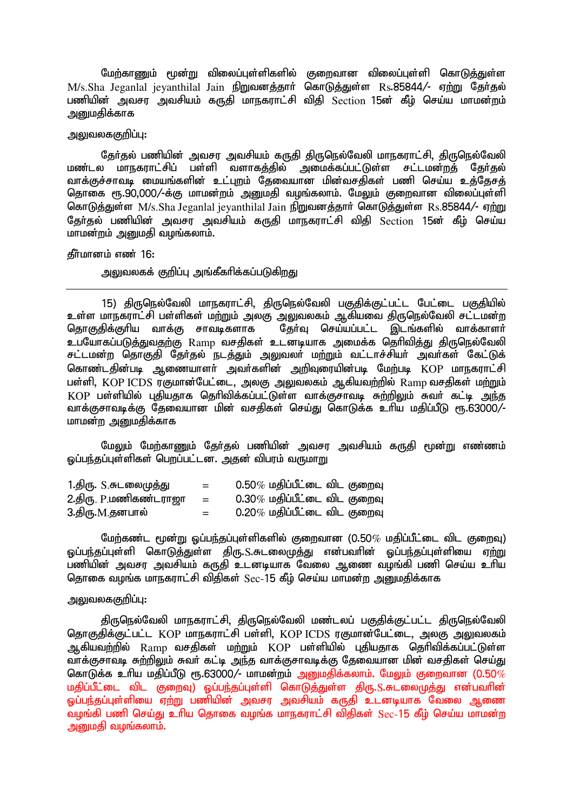மேற்காணும் மூன்று விலைப்புள்ளிகளில் குறைவான விலைப்புள்ளி கொடுத்துள்ள M/s.Sha Jeganlal jeyanthilal Jain நிறுவனத்தார் கொடுத்துள்ள Rs.85844/- ஏற்று தேர்தல் பணியின் அவசர அவசியம் கருதி மாநகராட்சி விதி Section 15ன் கீழ் செய்ய மாமன்றம் அமைகிக்காக

## அலுவலககுறிப்பு:

தேர்தல் பணியின் அவசர அவசியம் கருதி திருநெல்வேலி மாநகராட்சி, திருநெல்வேலி மண்டல மாநகராட்சிப் பள்ளி வளாகத்தில் அமைக்கப்பட்டுள்ள சட்டமன்றத் தேர்தல் வாக்குச்சாவடி மையங்களின் உட்புறம் தேவையான மின்வசதிகள் பணி செய்ய உத்தேசத் தொகை ரூ.90,000/-க்கு மாமன்றம் அனுமதி வழங்கலாம். மேலும் குறைவான விலைப்புள்ளி சொடுத்துள்ள  $M/s$ .Sha Jeganlal ievanthilal Jain நிறுவனத்தார் கொடுத்துள்ள  $Rs.85844/-$  ஏற்று தேர்தல் பணியின் அவசர அவசியம் கருதி மாநகராட்சி விதி Section 15ன் கீழ் செய்ய மாமன்றம் அனுமதி வழங்கலாம்.

#### கீர்மானம் எண் $16:$

அலுவலகக் குறிப்பு அங்கீகரிக்கப்படுகிறது

15) திருநெல்வேலி மாநகராட்சி, திருநெல்வேலி பகுதிக்குட்பட்ட பேட்டை பகுதியில் உள்ள மாநகராட்சி பள்ளிகள் மற்றும் அலகு அலுவலகம் ஆகியவை திருநெல்வேலி சட்டமன்ற<br>தொகுதிக்குரிய வாக்கு சாவடிகளாக தேர்வு செய்யப்பட்ட இடங்களில் வாக்காளர் ு.<br>சேர்வ செய்யப்பட்ட இடங்களில் வாக்காளர் உபயோகப்படுத்துவதற்கு Ramp வசதிகள் உடனடியாக அமைக்க தெரிவித்து திருநெல்வேலி சட்டமன்ற தொகுதி தேர்தல் நடத்தும் அலுவலர் மற்றும் வட்டாச்சியர் அவர்கள் கேட்டுக் கொண்டதின்படி ஆணையாளர் அவர்களின் அறிவுரையின்படி மேற்படி KOP மாநகராட்சி பள்ளி, KOP ICDS ரகுமான்பேட்டை, அலகு அலுவலகம் ஆகியவற்றில் Ramp வசகிகள் மற்றும் KOP பள்ளியில் பகியகாக தெரிவிக்கப்பட்டுள்ள வாக்குசாவடி சுற்றிலும் சுவர் கட்டி அந்த thf;Frhtbf;F Njitahd kpd; trjpfs; nra;J nfhLf;f chpa kjpg;gPL &.63000/- மாமன்ற அறைமதிக்காக

மேலும் மேற்காணும் தேர்தல் பணியின் அவசர அவசியம் கருதி மூன்று எண்ணம் <u>லப்பந்தப்புள்ளிகள் பொப்பட்டன. அ</u>தன் விபாம் வருமாறு

| 1.திரு. S.சுடலைமுத்து        | $=$ | $0.50\%$ மதிப்பீட்டை விட குறைவு |
|------------------------------|-----|---------------------------------|
| <u>2.திரு, P.மணிகண்டராஜா</u> | $=$ | $0.30\%$ மதிப்பீட்டை விட குறைவு |
| 3.திரு.M.தனபால்              | $=$ | $0.20\%$ மதிப்பீட்டை விட குறைவு |

மேற்கண்ட மூன்று ஒப்பந்தப்புள்ளிகளில் குறைவான (0.50 $\%$  மதிப்பீட்டை விட குறைவு) ஒப்பந்தப்புள்ளி கொடுத்துள்ள திரு.S.சுடலைமுத்து என்பவரின் ஒப்பந்தப்புள்ளியை ஏ<u>ற்று</u> பணியின் அவசர அவசியம் கருதி உடனடியாக வேலை ஆணை வமங்கி பணி செய்ய உரிய கொகை வமங்க மாநகாாட்சி விகிகள்  $\mathrm{Sec}\,45$  கீம் செய்ய மாமன்ற அமைகிக்காக

## அலுவலககுறிப்பு:

திருநெல்வேலி மாநகராட்சி, திருநெல்வேலி மண்டலப் பகுதிக்குட்பட்ட திருநெல்வேலி சொகுதிக்குட்பட்ட KOP மாநகராட்சி பள்ளி, KOP ICDS ரகுமான்பேட்டை, அலகு அலுவலகம் ஆகியவற்றில் Ramp வசதிகள் மற்றும் KOP பள்ளியில் புதியதாக தெரிவிக்கப்பட்டுள்ள ்பாக்குசாவடி சுற்றிலும் சுவர் கட்டி அந்த வாக்குசாவடிக்கு தேவையான மின் வசதிகள் செய்து கொடுக்க உரிய மதிப்பீடு ரூ.63000/- மாமன்றம் <u>அனுமதி</u>க்கலாம். மேலும் குறைவான (0.50 $\%$ மதிப்பீட்டை விட குறைவு) ஒப்பந்தப்புள்ளி கொடுத்துள்ள திரு.S.சுடலைமுத்து என்பவரின் <u>ஒப்பந்தப்புள்ளியை ஏற்று பணியின் அவசர அவசியம் கருதி உடனடியாக வேலை ஆணை </u> ்வழங்கி பணி செய்து உரிய தொகை வழங்க மாநகராட்சி விதிகள் Sec-15 கீழ் செய்ய மாமன்ற ் அறைமகி வழங்கலாம்.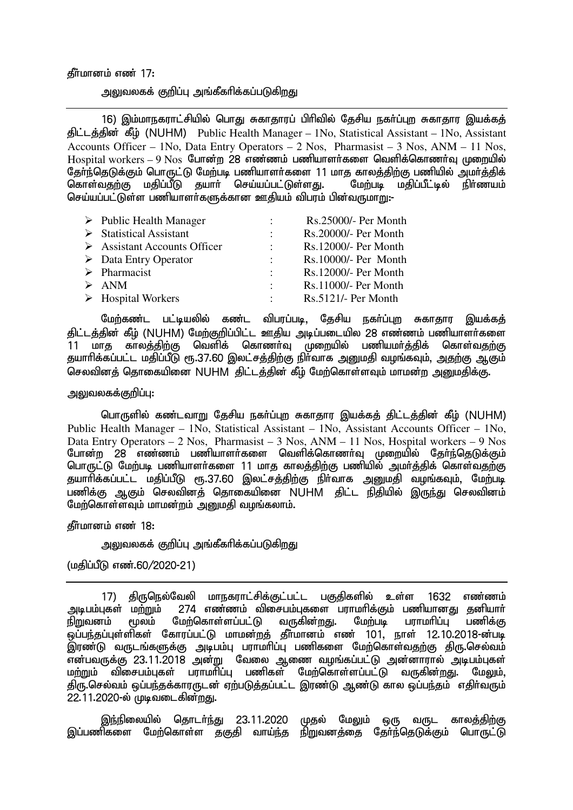#### தீர்மானம் எண் $17:$

அலுவலகக் குறிப்பு அங்கீகரிக்கப்படுக<u>ிறத</u>ு

16) இம்மாநகராட்சியில் பொது சுகாதாரப் பிரிவில் தேசிய நகர்ப்புற சுகாதார இயக்கத் திட்டத்தின் கீழ் (NUHM) Public Health Manager – 1No, Statistical Assistant – 1No, Assistant Accounts Officer – 1No, Data Entry Operators – 2 Nos, Pharmasist – 3 Nos, ANM – 11 Nos,  $H$ ospital workers – 9 Nos போன்ற 28 எண்ணம் பணியாளர்களை வெளிக்கொணர்வ முறையில் தோ்ந்தெடுக்கும் பொருட்டு மேற்படி பணியாளா்களை 11 மாத காலத்திற்கு பணியில் அமா்த்திக்<br>கொள்வதற்கு மதிப்பீடு தயாா் செய்யப்பட்டுள்ளது. மேற்படி மதிப்பீட்டில் நிா்ணயம் கொள்வதற்கு மதிப்பீடு தயார் செய்யப்பட்டுள்ளது. செய்யப்பட்டுள்ள பணியாளர்களுக்கான ஊகியம் விபாம் பின்வருமாறு:-

| $\triangleright$ Public Health Manager      | $\mathbb{R}^{\mathbb{Z}}$ | Rs.25000/- Per Month |
|---------------------------------------------|---------------------------|----------------------|
| $\triangleright$ Statistical Assistant      | $\mathbb{R}^{\mathbb{Z}}$ | Rs.20000/- Per Month |
| $\triangleright$ Assistant Accounts Officer | $\sim 100$                | Rs.12000/- Per Month |
| $\triangleright$ Data Entry Operator        | $\mathcal{L}$             | Rs.10000/- Per Month |
| $\triangleright$ Pharmacist                 | $\mathcal{L}$             | Rs.12000/- Per Month |
| $\triangleright$ ANM                        | $\mathbb{R}^{\mathbb{Z}}$ | Rs.11000/- Per Month |
| $\triangleright$ Hospital Workers           | $\mathcal{L}$             | Rs.5121/- Per Month  |

மேற்கண்ட பட்டியலில் கண்ட விபரப்படி, தேசிய நகர்ப்புற சுகாதார இயக்கத் திட்டத்தின் கீழ் (NUHM) மேற்குறிப்பிட்ட ஊதிய அடிப்படையில<sup>்</sup> 28 எண்ணம் பணியாளர்களை .<br>11 மாத காலத்திற்கு வெளிக் கொணா்வு முறையில் பணியமா்த்திக் கொள்வதற்கு தயாரிக்கப்பட்ட மதிப்பீடு ரூ.37.60 இலட்சத்திற்கு நிர்வாக அனுமதி வழங்கவும், அதற்கு ஆகும் செலவினத் தொகையினை NUHM திட்டத்தின் கீழ் மேற்கொள்ளவும் மாமன்ற <u>அனு</u>மதிக்கு.

#### அலுவலகக்குறிப்பு:

பொருளில் கண்டவாறு தேசிய நகா்ப்புற சுகாதார இயக்கத் திட்டத்தின் கீழ் (NUHM) Public Health Manager – 1No, Statistical Assistant – 1No, Assistant Accounts Officer – 1No, Data Entry Operators – 2 Nos, Pharmasist – 3 Nos, ANM – 11 Nos, Hospital workers – 9 Nos போன்ற 28 எண்ணம் பணியாளர்களை வெளிக்கொணர்வு முறையில் தேர்ந்தெடுக்கும் பொருட்டு மேற்படி பணியாளர்களை 11 மாத காலத்திற்கு பணியில் அமர்த்திக் கொள்வதற்கு தயாரிக்கப்பட்ட மதிப்பீடு ரூ.37.60 இலட்சத்திற்கு நிர்வாக அனுமதி வழங்கவும், மேற்படி பணிக்கு ஆகும் செலவினத் தொகையினை NUHM திட்ட நிதியில் இருந்து செலவினம் மேற்கொள்ளவும் மாமன்றம் அறையதி வழங்கலாம்.

கீர்மானம் எண் $18:$ 

அலுவலகக் குறிப்பு அங்கீகரிக்கப்படுகிறது

(மகிப்பீடு எண்.60/2020-21)

17) திருநெல்வேலி மாநகராட்சிக்குட்பட்ட பகுதிகளில் உள்ள 1632 எண்ணம்<br>அடிபம்புகள் மற்றும் 274 எண்ணம் விசைபம்புகளை பராமாிக்கும் பணியானது தனியாா் ்மற்றும் 274 எண்ணம் விசைபம்புகளை பராமாிக்கும் பணியானது தனியாா்<br>மூலம் மேற்கொள்ளப்பட்டு வருகின்றது. மேற்படி பராமாிப்பு பணிக்கு நிறுவனம் மூலம் மேற்கொள்ளப்பட்டு வருகின்றது. மேற்படி பராமரிப்பு பணிக்கு .<br>ஒப்பந்தப்புள்ளிகள் கோரப்பட்டு மாமன்றத் தீர்மானம் எண் 101, நாள் 12.10.2018-ன்படி இரண்டு வருடங்களுக்கு அடிபம்பு பராமரிப்பு பணிகளை மேற்கொள்வ<u>தற்கு</u> திரு.செல்வம் என்பவருக்கு 23.11.2018 அன்று வேலை ஆணை வழங்கப்பட்டு அன்னாரால் அடிபம்புகள் மற்றும் விசைபம்புகள் பராமாிப்பு பணிகள் மேற்கொள்ளப்பட்டு வருகின்றது. மேலும், கிரு.செல்வம் ஒப்பந்தக்காரருடன் ஏற்படுத்தப்பட்ட இரண்டு ஆண்டு கால ஒப்பந்தம் எதிர்வரும் 22.11.2020-ல் முடிவடைகின்றது.

இந்நிலையில் தொடர்ந்து 23.11.2020 முதல் மேலும் ஒரு வருட காலத்திற்கு இப்பணிகளை மேற்கொள்ள தகுதி வாய்ந்த நிறுவனத்தை தோ்ந்தெடுக்கும் பொருட்டு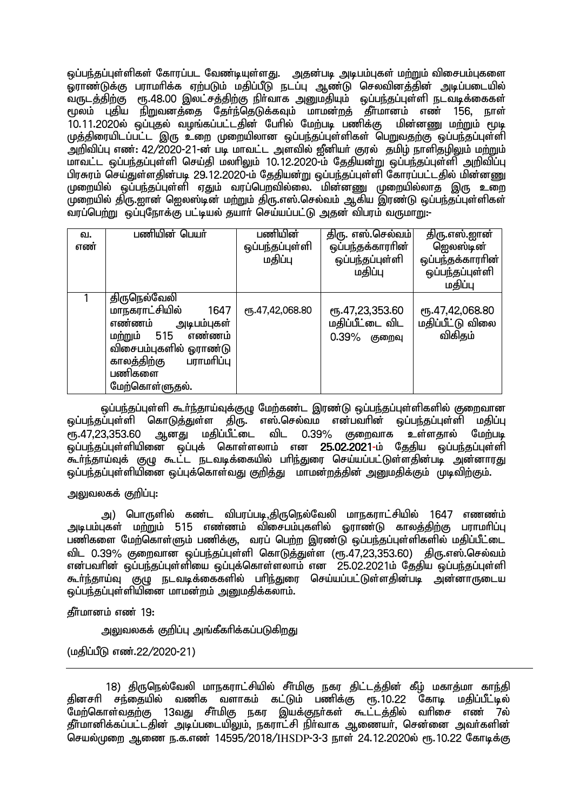ஒப்பந்தப்புள்ளிகள் கோரப்பட வேண்டியுள்ளது. அதன்படி அடிபம்புகள் மற்றும் விசைபம்புகளை <u>ஓராண்டுக்கு</u> பராமரிக்க ஏற்படும் மதிப்பீடு நடப்பு ஆண்டு செலவினத்தின் அடிப்படையில் வருடத்திற்கு ரூ.48.00 இலட்சத்திற்கு நிா்வாக அனுமதியும் ஒப்பந்தப்புள்ளி நடவடிக்கைகள் ரூலம் புதிய நிறுவனத்தை தேர்ந்தெடுக்கவும் மாமன்றத் தீர்மானம் எண் 156, நாள் 10.11.2020ல் ஒப்புதல் வழங்கப்பட்டதின் பேரில் மேற்படி பணிக்கு மின்னணு மற்றும் மூடி முத்திரையிடப்பட்ட இரு உறை முறையிலான ஒப்பந்தப்புள்ளிகள் பெறுவதற்கு ஒப்பந்தப்புள்ளி அறிவிப்பு எண்: 42/2020-21-ன் படி மாவட்ட அளவில் ஜீனியர் குரல் தமிழ் நாளிதழிலும் மற்றும் ் மாவட்ட ஒப்பந்தப்புள்ளி செய்தி மலரிலும் 10.12.2020-ம் தேதியன்று ஒப்பந்தப்புள்ளி அறிவிப்பு பிரசுரம் செய்துள்ளகின்படி 29.12.2020-ம் கேகியன்று ஒப்பந்தப்புள்ளி கோரப்பட்டகில் மின்னணு முறையில் ஒப்பந்தப்புள்ளி ஏதும் வரப்பெறவில்லை. மின்னணு முறையில்லாத இரு உறை முறையில் கிரு.ஹான் ஹெலஸ்டின் மற்றும் கிரு.எஸ்.செல்வம் ஆகிய இரண்டு ஒப்பந்தப்புள்ளிகள் ்வரப்பெற்று ஒப்புநோக்கு பட்டியல் தயார் செய்யப்பட்டு அதன் விபரம் வருமாறு:-

| வ.<br>எண் | பணியின் பெயர்                                                                                                                                                               | பணியின்<br>ஒப்பந்தப்புள்ளி<br>மதிப்பு | திரு. எஸ்.செல்வம்<br>ஒப்பந்தக்காரரின்<br>ஒப்பந்தப்புள்ளி<br>மதிப்பு | திரு.எஸ்.ஜான்<br>ஜெலஸ்டின்<br>ஒப்பந்தக்காராின்<br>ஒப்பந்தப்புள்ளி<br>மதிப்பு |
|-----------|-----------------------------------------------------------------------------------------------------------------------------------------------------------------------------|---------------------------------------|---------------------------------------------------------------------|------------------------------------------------------------------------------|
|           | திருநெல்வேலி<br>மாநகராட்சியில்<br>1647<br>எண்ணம்<br>அடிபம்புகள்<br>மற்றும் 515<br>எண்ணம்<br>விசைபம்புகளில் ஓராண்டு<br>காலத்திற்கு<br>பராமரிப்பு<br>பணிகளை<br>மேற்கொள்ளுதல். | ரூ.47,42,068.80                       | ரு.47,23,353.60<br>மதிப்பீட்டை விட<br>0.39%<br>குறைவு               | ரு.47,42,068.80<br>மதிப்பீட்டு விலை<br>விகிதம்                               |

ஒப்பந்தப்புள்ளி கூர்ந்தாய்வுக்குழு மேற்கண்ட இரண்டு ஒப்பந்தப்புள்ளிகளில் குறைவான ஒப்பந்தப்்புள்ளி கொடுத்துள்ள திரு. எஸ்.செல்வம் என்பவரின் ஒப்பந்தப்புள்ளி மதிப்பு<br>ரூ.47,23,353.60 ஆனது மதிப்பீட்டை விட 0.39% குறைவாக உள்ளகால் மேற்படி ரூ.47.23.353.60 ஆனது மகிப்பீட்டை விட 0.39% குறைவாக உள்ளதால் மேற்படி ஒப்பந்தப்புள்ளியினை ஒப்புக் கொள்ளலாம் என 25.02.2021-ம் தேதிய ஒப்பந்தப்புள்ளி கூர்ந்தாய்வுக் குழு கூட்ட நடவடிக்கையில் பாிந்துரை செய்யப்பட்டுள்ளதின்படி அன்னாரது <u>ஓப்பந்தப்புள்ளியி</u>னை ஒப்புக்கொள்வது குறித்து மாமன்றத்தின் அறுமதிக்கும் முடிவிற்கும்.

அலுவலகக் குறிப்பு $:$ 

அ) பொருளில் கண்ட விபரப்படி,திருநெல்வேலி மாநகராட்சியில் 1647 எணண்ம் அடிபம்புகள் மற்றும் 515 எண்ணம் விசைபம்புகளில் ஒராண்டு காலத்திற்கு பராமரிப்பு பணிகளை மேற்கொள்ளும் பணிக்கு, வரப் பெற்ற இரண்டு ஒப்பந்தப்புள்ளிகளில் மதிப்பீட்டை விட 0.39% குறைவான ஒப்பந்தப்புள்ளி கொடுத்துள்ள (ரூ.47,23,353.60) கிரு.எஸ்.செல்வம் என்பவரின் ஒப்பந்தப்புள்ளியை ஒப்புக்கொள்ளலாம் என $\,$  25.02.2021ம் தேதிய ஒப்பந்தப்புள்ளி கூர்ந்தாய்வு குழு நடவடிக்கைகளில் பரிந்துரை செய்யப்பட்டுள்ளதின்படி அன்னாருடைய <u>ஒப்பந்த</u>ப்புள்ளியினை மாமன்றம் அனுமதிக்கலாம்.

தீர்மானம் எண் 19:

அலுவலகக் குறிப்பு அங்கீகரிக்கப்படுகிறது

(மதிப்பீடு எண்.22/2020-21)

18) திருநெல்வேலி மாநகராட்சியில் சீா்மிகு நகர திட்டத்தின் கீழ் மகாத்மா காந்தி தினசரி சந்தையில் வணிக வளாகம் கட்டும் பணிக்கு ரூ.10.22 கோடி மதிப்பீட்டில் .<br>மேற்கொள்வதற்கு 13வது சீர்மிகு நகர இயக்குநர்கள் கூட்டத்தில் வரிசை எண 7ல் தீா்மானிக்கப்பட்டதின் அடிப்படையிலும், நகராட்சி நிா்வாக ஆணையா, சென்னை அவா்களின் செயல்முறை ஆணை ந.க.எண் 14595/2018/IHSDP-3-3 நாள் 24.12.2020ல் ரூ.10.22 கோடிக்கு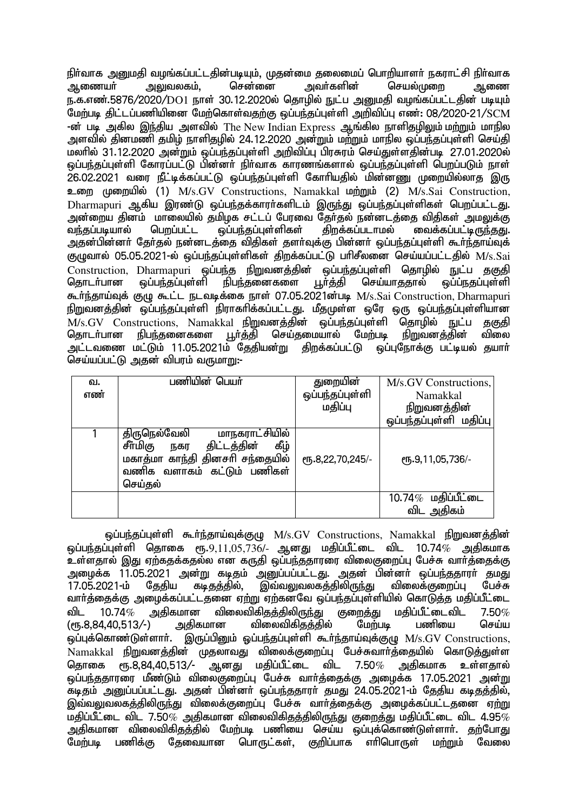eph;thf mDkjp toq;fg;gl;ljpd;gbAk;> Kjd;ik jiyikg; nghwpahsh; efuhl;rp eph;thf <u>ஆ</u>ணையா் அலுவலகம். சென்னை அவா்களின் செயல்முறை ஆணை ந.க.எண்.5876/2020/DO1 நாள் 30.12.2020ல் தொழில் நுட்ப அனுமதி வழங்கப்பட்டதின் படியும் மேற்படி திட்டப்பணியினை மேற்கொள்வதற்கு ஒப்பந்தப்புள்ளி அறிவிப்பு எண்: 08/2020-21/SCM -ன் படி அகில இந்திய அளவில் The New Indian Express ஆங்கில நாளிதமிலும் மற்றும் மாநில அளவில் தினமணி தமிழ் நாளிதழில் 24.12.2020 அன்றும் மற்றும் மாநில ஒப்பந்தப்புள்ளி செய்தி .<br>மலரில் 31.12.2020 அன்றும் ஒப்பந்தப்புள்ளி அறிவிப்பு பிரசுரம் செய்துள்ளதின்படி 27.01.2020ல் ் ஒப்பந்தப்புள்ளி கோரப்பட்டு பின்னர் நிர்வாக காரணங்களால் ஒப்பந்தப்புள்ளி பெறப்படும் நாள் 26.02.2021 வரை நீட்டிக்கப்பட்டு ஒப்பந்தப்புள்ளி கோரியதில் மின்னணு முறையில்லாத இரு  $2\pi$ m ( $\mu$ mm $\mu$ la (1) M/s.GV Constructions, Namakkal  $\mu$ mm $\mu$  (2) M/s.Sai Construction, Dharmapuri ஆகிய இரண்டு ஒப்பந்தக்காரர்களிடம் இருந்து ஒப்பந்தப்புள்ளிகள் பெறப்பட்டது. அன்றைய தினம் மாலையில் தமிழக சட்டப் பேரவை தேர்தல் நன்னடத்தை விதிகள் அமலுக்கு<br>வந்கப்படியால் பெருப்பட்ட வப்பந்கப்பள்ளிகள் கிருக்கப்படாமல் வைக்கப்பட்டிருந்தது. ் ஒப்ப<u>ந்த</u>ப்புள்ளிகள் .<br>அதன்பின்னர் தேர்தல் நன்னடத்தை விதிகள் தளர்வுக்கு பின்னர் ஒப்பந்தப்புள்ளி கூர்ந்தாய்வுக் குழுவால் 05.05.2021-ல் ஒப்பந்தப்புள்ளிகள் திறக்கப்பட்டு பரிசீலனை செய்யப்பட்டதில் M/s.Sai Construction, Dharmapuri ஒப்பந்த நிறுவனத்தின் ஒப்பந்தப்புள்ளி தொழில் நுட்ப தகுதி<br>தொடா்பான ஒப்பந்தப்புள்ளி நிபந்தனைகளை பூா்த்தி செய்யாததால் ஒப்ப்நதப்புள்ளி ்நிபந்தனைகளை கூர்ந்தாய்வுக் குழு கூட்ட நடவடிக்கை நாள் 07.05.2021ன்படி M/s.Sai Construction, Dharmapuri நிறுவனத்தின் ஒப்பந்தப்புள்ளி நிராகாிக்கப்பட்டது. மீதமுள்ள ஒரே ஒரு ஒப்பந்தப்புள்ளியான M/s.GV Constructions, Namakkal நிறுவனத்தின் ஒப்பந்தப்புள்ளி தொழில் நுட்ப தகுதி<br>கொடர்பான நிபந்தனைகளை பூர்த்தி செய்தமையால் மேற்படி நிறுவனத்தின் விலை நிபந்தனைகளை பூர்த்தி செய்தமையால் மேற்படி அட்டவணை மட்டும் 11.05.2021ம் தேதியன்று திறக்கப்பட்டு ஒப்புநோக்கு பட்டியல் தயாா் செய்யப்பட்டு அதன் விபரம் வருமாறு:-

| வ.<br>எண் | பணியின் பெயர்                                                                                                                                               | துறையின்<br>ஒப்பந்தப்புள்ளி<br>மதிப்பு | M/s.GV Constructions,<br>Namakkal<br>நிறுவனத்தின்<br>ஒப்பந்தப்புள்ளி மதிப்பு |
|-----------|-------------------------------------------------------------------------------------------------------------------------------------------------------------|----------------------------------------|------------------------------------------------------------------------------|
|           | திருநெல்வேலி<br><u>மாநகராட்சியில்</u><br>சீர்மிகு<br>திட்டத்தின்<br>கீழ்<br>நகர<br>மகாத்மா காந்தி தினசரி சந்தையில்<br>வணிக வளாகம் கட்டும் பணிகள்<br>செய்கல் | СПБ.8,22,70,245/-                      | СПБ.9,11,05,736/-                                                            |
|           |                                                                                                                                                             |                                        | $10.74\%$ மதிப்பீட்டை<br>விட அதிகம்                                          |

ஒப்பந்தப்புள்ளி கூர்ந்தாய்வுக்குழு M/s.GV Constructions, Namakkal நிறுவனத்தின்  $\tilde{\bm{\omega}}$ ப்பந்தப்புள்ளி தொகை ரூ. $9,11,05,736$ /- ஆனது மதிப்பீட்டை விட 10.74 $\%$  அதிகமாக உள்ளதால் இது ஏற்கதக்கதல்ல என கருதி ஒப்பந்ததாரரை விலைகுறைப்பு பேச்சு வார்த்தைக்கு அழைக்க 11.05.2021 அன்று கடிதம் அனுப்பப்பட்டது. அதன் பின்னா் ஒப்பந்ததாரா் தமது<br>17.05.2021-ம் கேகிய கடிகக்கில். இவ்வலுவலகக்கிலிருந்து விலைக்குறைப்ப பேச்சு இவ்வலுவலகக்கிலிருந்து $\,$ வாா்த்தைக்கு அழைக்கப்பட்டதனை ஏற்று ஏற்கனவே ஒப்பந்தப்புள்ளியில் கொடுத்த மதிப்பீட்டை<br>விட 10.74 $\%$  அதிகமான விலைவிகிதத்திலிருந்து குறைத்து மதிப்பீட்டைவிட 7.50 $\%$ விட 10.74 $\%$  அதிகமான விலைவிகிதத்திலிருந்து குறைத்து மதிப்பீட்டைவிட 7.50 $\%$ <br>(ரூ.8,84,40,513/-) அதிகமான விலைவிகிதத்தில் மேற்படி பணியை செய்ய (ரூ.8,84,40,513/-) அதிகமான விலைவிகித்தில் ஒப்புக்கொண்டுள்ளார். இருப்பினும் ஒப்பந்தப்புள்ளி கூர்ந்தாய்வுக்குழு  $M/s.GV$  Constructions, Namakkal நிறுவனத்தின் முதலாவது விலைக்குறைப்பு பேச்சுவாா்த்தையில் கொடுத்துள்ள<br>தொகை ரூ.8,84,40,513⁄- ஆனது மதிப்பீட்டை விட 7.50*%* அகிகமாக உள்ளகால் தொகை ரூ.8,84,40,513/- ஆனது மதிப்பீட்டை விட 7.50 $\%$  அகிகமாக உள்ளகால் ஒப்பந்ததாரரை மீண்டும் விலைகுறைப்பு பேச்சு வார்த்தைக்கு அழைக்க 17.05.2021 அன்று .<br>கடிகம் அறுப்பப்பட்டது. அகன் பின்னா் ஒப்பந்ததாரா் தமது 24.05.2021-ம் தேதிய கடிதத்தில், இவ்வலுவலகத்திலிருந்து விலைக்குறைப்பு பேச்சு வார்த்தைக்கு அழைக்கப்பட்டதனை ஏற்று மதிப்பீட்டை விட 7.50 $\%$  அதிகமான விலைவிகிதத்திலிருந்து குறைத்து மதிப்பீட்டை விட 4.95 $\%$ அதிகமான விலைவிகிதத்தில் மேற்படி பணியை செய்ய ஒப்புக்கொண்டுள்ளாா். தற்போது<br>மேற்படி பணிக்கு தேவையான பொருட்கள். குறிப்பாக எாிபொருள் மா்மாம் வேலை மேற்படி பணிக்கு தேவையான பொருட்கள். குறிப்பாக எரிபொருள்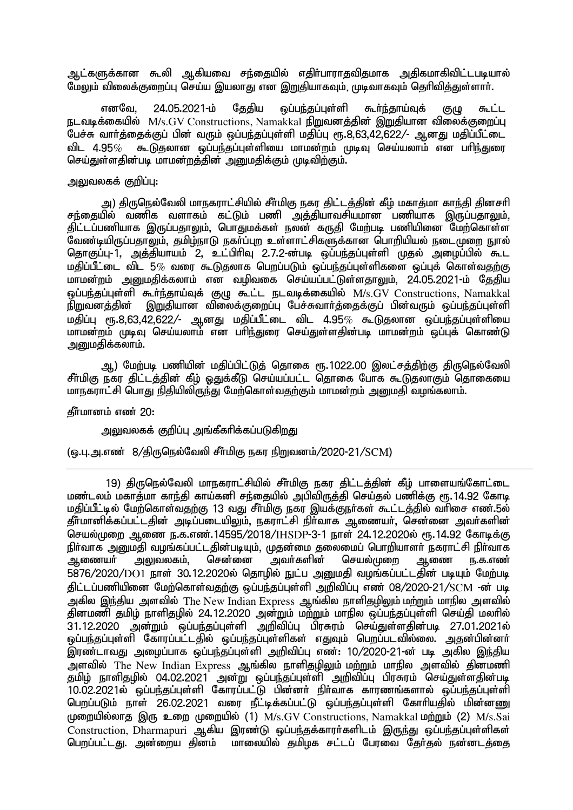ஆட்களுக்கான கூலி ஆகியவை சந்தையில் எதிர்பாராதவிதமாக அதிகமாகிவிட்டபடியால் மேலும் விலைக்குறைப்பு செய்ய இயலாது என இறுகியாகவும், முடிவாகவும் தெரிவித்துள்ளார்.

எனவே, 24.05.2021-ம் தேதிய ஒப்பந்தப்புள்ளி கூர்ந்தாய்வுக் குழு கூட்ட  $F$ டவடிக்கையில்  $M/s$ .GV Constructions, Namakkal நிறுவனக்கின் இறுகியான விலைக்குறைப்பு .<br>பேச்சு வாா்த்தைக்குப் பின் வரும் ஒப்பந்தப்புள்ளி மதிப்பு ரூ.8,63,42,622/- ஆனது மதிப்பீட்டை விட 4.95 $\%$  கூடுதலான ஒப்பந்தப்புள்ளியை மாமன்றம் முடிவு செய்யலாம் என பரிந்துரை செய்துள்ளதின்படி மாமன்றத்தின் அனுமதிக்கும் முடிவிற்கும்.

## அலுவலகக் குறிப்பு:

அ) திருநெல்வேலி மாநகராட்சியில் சீா்மிகு நகர திட்டத்தின் கீழ் மகாத்மா காந்தி தினசரி சந்தையில் வணிக வளாகம் கட்டும் பணி அத்தியாவசியமான பணியாக இருப்பதாலும். திட்டப்பணியாக இருப்பதாலும், பொதுமக்கள் நலன் கருதி மேற்படி பணியினை மேற்கொள்ள ு<br>வேண்டியிருப்பதாலும், தமிழ்நாடு நகா்ப்புற உள்ளாட்சிகளுக்கான பொறியியல் நடைமுறை நுரல் தொகுப்பு-1, அத்தியாயம் 2, உட்பிரிவு 2.7.2-ன்படி ஒப்பந்தப்புள்ளி முதல் அழைப்பில் கூட மகிப்பீட்டை விட 5 $\%$  வரை கூடுகலாக பெறப்படும் ஒப்பந்கப்புள்ளிகளை ஒப்புக் கொள்வகுற்கு மாமன்றம் அமைகிக்கலாம் என வமிவகை செய்யப்பட்டுள்ளகாலும். 24.05.2021-ம் கேகிய ஒப்பந்தப்புள்ளி கூர்ந்தாய்வுக் குழு கூட்ட நடவடிக்கையில்  $M/s.GV$  Constructions, Namakkal .<br>நிறுவனத்தின் இறுதியான விலைக்குறைப்பு பேச்சுவார்த்தைக்குப் பின்வரும் ஒப்பந்தப்புள்ளி  $k$ றதிப்பு ரூ.8,63,42,622/- ஆனது மதிப்பீட்டை விட 4.95% கூடுதலான ஒப்பந்தப்புள்ளியை மாமன்றம் முடிவு செய்யலாம் என பரிந்துரை செய்துள்ளதின்படி மாமன்றம் ஒப்புக் கொண்டு அறுமதிக்கலாம்.

ஆ) மேற்படி பணியின் மதிப்பிட்டுத் தொகை ரூ.1022.00 இலட்சத்திற்கு திருநெல்வேலி சீர்மிகு நகர திட்டத்தின் கீழ் ஒதுக்கீடு செய்யப்பட்ட தொகை போக கூடுதலாகும் தொகையை மாநகராட்சி பொது நிதியிலிருந்து மேற்கொள்வதற்கும் மாமன்றம் அனுமதி வழங்கலாம்.

தீர்மானம் எண் 20:

அலுவலகக் குறிப்பு அங்கீகரிக்கப்படுகிறது

 $\omega_{\rm gal}$ .பு.அ.எண் 8/திருநெல்வேலி சீர்மிகு நகர நிறுவனம்/2020-21/SCM)

19) திருநெல்வேலி மாநகராட்சியில் சீர்மிகு நகர திட்டத்தின் கீழ் பாளையங்கோட்டை மண்டலம் மகாத்மா காந்தி காய்கனி சந்தையில் அபிவிருத்தி செய்தல் பணிக்கு ரூ. 14.92 கோடி மதிப்பீட்டில் மேற்கொள்வதற்கு 13 வது சீர்மிகு நகர இயக்குநர்கள் கூட்டத்தில் வரிசை எண்.5ல் கீர்மானிக்கப்பட்டதின் அடிப்படையிலும், நகராட்சி நிர்வாக ஆணையர், சென்னை அவர்களின் ் செயல்முறை ஆணை ந.க.எண்.14595/2018/IHSDP-3-1 நாள் 24.12.2020ல் ரூ.14.92 கோடிக்கு eph;thf mDkjp toq;fg;gl;ljpd;gbAk;> Kjd;ik jiyikg; nghwpahsh; efuhl;rp eph;thf ஆணையா் அலுவலகம், சென்னை அவா்களின் செயல்முறை ஆணை <u>ந</u>.க.எண்  $5876/2020/D01$  நாள்  $30.12.2020$ ல் தொழில் நுட்ப அனுமதி வழங்கப்பட்டதின் படியும் மேற்படி திட்டப்பணியினை மேற்கொள்வதற்கு ஒப்பந்தப்புள்ளி அறிவிப்பு எண் 08/2020-21/SCM -ன் படி அகில இந்திய அளவில் The New Indian Express ஆங்கில நாளிதழிலும் மற்றும் மாநில அளவில் ்பு நின்மணி தமிழ் நாளிதழில் 24.12.2020 அன்றும் மற்றும் மாநில ஒப்பந்தப்புள்ளி செய்தி மலரில் 31.12.2020 அன்றும் ஒப்பந்தப்புள்ளி அறிவிப்பு பிரசுரம் செய்துள்ளதின்படி 27.01.2021ல் ஒப்பந்தப்புள்ளி கோரப்பட்டதில் ஒப்பந்தப்புள்ளிகள் எதுவும் பெறப்படவில்லை. அதன்பின்னர் .<br>இரண்டாவது அழைப்பாக ஒப்பந்தப்புள்ளி அறிவிப்பு எண்: 10/2020-21-ன் படி அகில <u>இந்</u>திய அளவில் The New Indian Express ஆங்கில நாளிதழிலும் மற்றும் மாநில அளவில் தின்மணி தமிழ் நாளிதழில் 04.02.2021 அன்று ஒப்பந்தப்புள்ளி அறிவிப்பு பிரசுரம் செய்துள்ளதின்படி 10.02.2021ல் ஒப்பந்தப்புள்ளி கோரப்பட்டு பின்னா் நிா்வாக காரணங்களால் ஒப்பந்தப்புள்ளி ngwg;gLk; ehs; 26.02.2021 tiu ePl;bf;fg;gl;L xg;ge;jg;Gs;sp Nfhhpajpy; kpd;dZ முறையில்லாத இரு உறை முறையில் (1)  $M/s$ .GV Constructions, Namakkal மற்றும் (2)  $M/s$ .Sai  $\Gamma$ Construction, Dharmapuri ஆகிய இரண்டு ஒப்பந்தக்காரர்களிடம் இருந்து ஒப்பந்தப்புள்ளிகள் பெறப்பட்டது. அன்றைய தினம் மாலையில் தமிழக சட்டப் பேரவை தேர்தல் நன்னடத்தை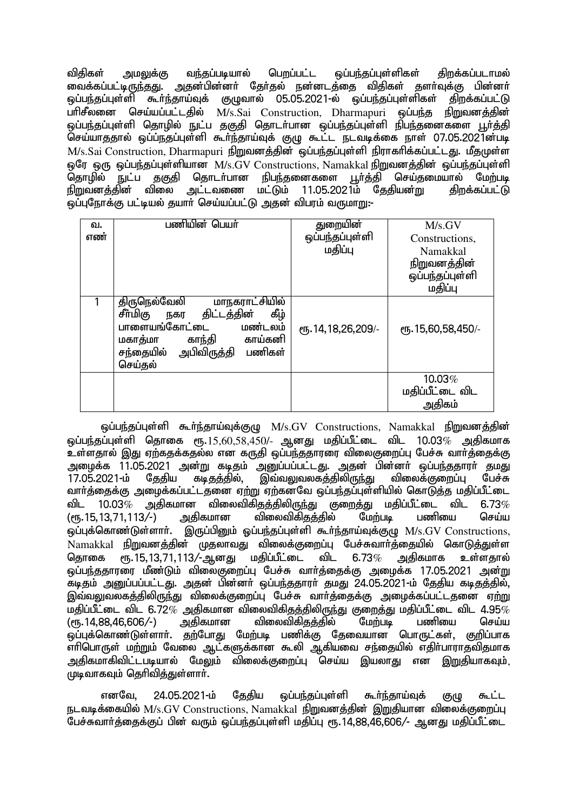விதிகள் அமலுக்கு வந்தப்படியால் பெறப்பட்ட ஒப்பந்தப்புள்ளிகள் திறக்கப்படாமல் வைக்கப்பட்டிருந்தது. அதன்பின்னா் தோ்தல் நன்னடத்தை விதிகள் தளா்வுக்கு பின்னா் ஒப்பந்தப்புள்ளி கூர்ந்தாய்வுக் குழுவால் 05.05.2021-ல் ஒப்பந்தப்புள்ளிகள் திறக்கப்பட்டு பரிசீலனை செய்யப்பட்டகில் M/s.Sai Construction, Dharmapuri ஒப்பந்த நிறுவனக்கின் xg;ge;jg;Gs;sp njhopy; El;g jFjp njhlh;ghd xg;ge;jg;Gs;sp epge;jidfis G+h;j;jp செய்யாததால் ஒப்ப்நதப்புள்ளி கூர்ந்தாய்வுக் குழு கூட்ட நடவடிக்கை நாள் 07.05.2021ன்படி  $M/s$ .Sai Construction, Dharmapuri நிறுவனத்தின் ஒப்பந்தப்புள்ளி நிராகரிக்கப்பட்டது. மீதமுள்ள ஒரே ஒரு ஒப்பந்தப்புள்ளியான M/s.GV Constructions, Namakkal நிறுவனத்தின் ஒப்பந்தப்புள்ளி<br>கொமில் நுட்ப குகுகி கொடர்பான நிபந்தனைகளை பூர்க்கி செய்கமையால் மேற்படி .<br>தொழில் நுட்ப தகுதி தொடா்பான நிபந்தனைகளை பூா்த்தி செய்தமையால் மேற்படி<br>நிறுவனக்கின் விலை அட்டவணை மட்டும் 11.05.2021ம் கேகியன்று கிறக்கப்பட்டு ் விலை அட்டவணை மட்டும் 11.05.2021ம் தேதியன்<u>று</u> ஒப்புநோக்கு பட்டியல் தயார் செய்யப்பட்டு அதன் விபரம் வருமாறு:-

| வ.<br>எண் | பணியின் பெயர்                                                                                                                                                                      | துறையின்<br>ஒப்பந்தப்புள்ளி<br>மதிப்பு | M/s.GV<br>Constructions,<br>Namakkal<br>நிறுவனத்தின்<br>ஒப்பந்தப்புள்ளி<br>மதிப்பு |
|-----------|------------------------------------------------------------------------------------------------------------------------------------------------------------------------------------|----------------------------------------|------------------------------------------------------------------------------------|
|           | மாநகராட்சியில்<br>திருநெல்வேலி<br>சீா்மிகு<br>திட்டத்தின்<br>கீழ்<br>நகர<br>பாளையங்கோட்டை<br>மண்டலம்<br>காந்தி<br>காய்கனி<br>மகாத்மா<br>சந்தையில் அபிவிருத்தி<br>பணிகள்<br>செய்கல் | СПБ. 14, 18, 26, 209/-                 | СПБ. 15,60,58,450/-                                                                |
|           |                                                                                                                                                                                    |                                        | 10.03%<br>மதிப்பீட்டை விட<br>அதிகம்                                                |

ஒப்பந்தப்புள்ளி கூர்ந்தாய்வுக்குமு  $M/s$ . $GV$  Constructions, Namakkal நிறுவனத்தின் ஒப்பந்தப்புள்ளி தொகை ரூ. $15,60,58,450$ /- ஆனது மதிப்பீட்டை விட 10.03 $\%$  அகிகமாக .<br>உள்ளதால் இது ஏற்கதக்கதல்ல என கருதி ஒப்பந்ததாரரை விலைகுறைப்பு பேச்சு வார்க்கைக்கு அழைக்க 11.05.2021 அன்று கடிதம் அனு்ப்பப்பட்டது. அதன் பின்னா் ஒப்பந்ததாரா் தமது<br>17.05.2021-ம் கேகிய கடிகக்கில், இவ்வலுவலகக்கிலிருந்து விலைக்குறைப்பு பேச்சு இவ்வலுவலகத்திலிரு<u>ந்து</u> வார்த்தைக்கு அழைக்கப்பட்டதனை ஏற்று ஏற்கனவே ஒப்பந்தப்புள்ளியில் கொடுக்க மகிப்பீட்டை விட 10.03*%* அதிகமான விலைவிகிதத்திலிருந்து குறைத்து மதிப்பீட்டை விட 6.73*%*<br>(ரூ.15,13,71,113⁄-) அதிகமான விலைவிகிதத்தில் மேற்படி பணியை செய்ய (ரூ.15,13,71,113/-) அதிகமான விலைவிகிதத்தில் மேற்படி பணியை செய்ய ஒப்புக்கொண்டுள்ளார். இருப்பினும் ஒப்பந்தப்புள்ளி கூர்ந்தாய்வுக்குழு  $M/s.GV$   $Constructions,$ ் Namakkal நிறுவனத்தின் முதலாவது விலைக்குறைப்பு பேச்சுவார்த்தையில் கொடுத்துள்ள<br>கொகை ரூ.15.13.71.113⁄-ஆனது மகிப்பீட்டை விட 6.73% அகிகமாக உள்ளதால் தொகை ரூ.15,13,71,113/-ஆனது மதிப்பீட்டை விட 6.73% அதிகமாக உள்ளதால் <u>ஒப்பந்த</u>தாரரை மீண்டும் விலைகுறைப்பு பேச்சு வார்த்தைக்கு அழைக்க 17.05.2021 அன்று .<br>கடிதம் அனுப்பப்பட்டது. அதன் பின்னா் ஒப்பந்ததாரா் தமது 24.05.2021-ம் தேதிய கடிதத்தில், , குற்வலுவலகத்திலிருந்து விலைக்குறைப்பு பேச்சு வார்க்கைக்கு அமைக்கப்பட்டதனை எற்று மதிப்பீட்டை விட 6.72 $\%$  அதிகமான விலைவிகிதத்திலிருந்து குறைத்து மதிப்பீட்டை விட 4.95 $\%$ <br>(ரூ.14.88.46.606/-) அதிகமான விலைவிகிதத்தில் மேற்படி பணியை செய்ய (ரூ.14,88,46,606/-) அதிகமான விலைவிகிதத்தில் மேற்படி பணியை செய்ய <u>ஒ</u>ப்புக்கொண்டுள்ளார். தற்போது மேற்படி பணிக்கு தேவையான பொருட்கள், குறிப்பாக ் எரிபொருள் மற்றும் வேலை ஆட்களுக்கான கூலி ஆகியவை சந்தையில் எகிா்பாராகவிகமாக அதிகமாகிவிட்டபடியால் மேலும் விலைக்குறைப்பு செய்ய இயலாது என இறுதியாகவும்.  $\mu$ டிவாகவும் தெரிவித்துள்ளார்.

எனவே, 24.05.2021-ம் தேதிய ஒப்பந்தப்புள்ளி கூர்ந்தாய்வுக் குழு கூட்ட நடவடிக்கையில் M/s.GV Constructions, Namakkal நிறுவனத்தின் இறுதியான விலைக்குறைப்பு பேச்சுவார்த்தைக்குப் பின் வரும் ஒப்பந்தப்புள்ளி மதிப்பு ரூ.14,88,46,606/- ஆனது மதிப்பீட்டை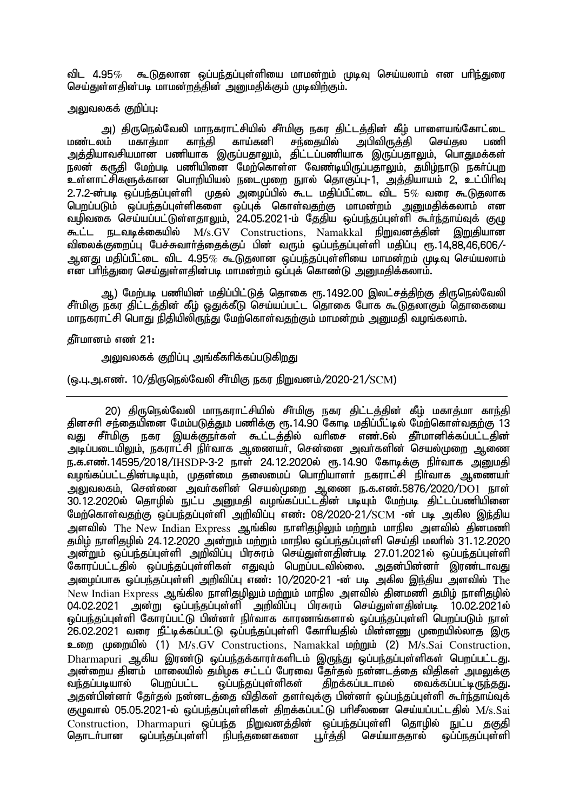விட 4.95 $\%$  கூடுதலான ஒப்பந்தப்புள்ளியை மாமன்றம் முடிவு செய்யலாம் என பரிந்துரை செய்துள்ளதின்படி மாமன்றத்தின் அறையதிக்கும் முடிவிற்கும்.

## அலுவலகக் குறிப்பு<del>.</del>

அ) திருநெல்வேலி மாநகராட்சியில் சீா்மிகு நகர திட்டத்தின் கீழ் பாளையங்கோட்டை<br>மண்டலம் மகாத்மா காந்தி காய்கனி சந்தையில் அபிவிருத்தி செய்தல பணி அபிவிருத்தி அத்தியாவசியமான பணியாக இருப்பதாலும், திட்டப்பணியாக இருப்பதாலும், பொதுமக்கள் .<br>நலன் கருதி மேற்படி பணியிணை மேற்கொள்ள வேண்டியிருப்பதாலும், தமிழ்நாடு நகர்ப்புற உள்ளாட்சிகளுக்கான பொறியியல் நடைமுறை நூல் தொகுப்பு-1, அத்தியாயம் 2, உட்பிரிவு  $2.7.2$ -ன்படி ஒப்பந்தப்புள்ளி முதல் அழைப்பில் கூட மதிப்பீட்டை விட 5 $\%$  வரை கூடுதலாக பெறப்படும் ஒப்பந்தப்புள்ளிகளை ஒப்புக் கொள்வதற்கு மாமன்றம் அறுமதிக்கலாம் என வழிவகை செய்யப்பட்டுள்ளதாலும், 24.05.2021-ம் தேதிய ஒப்பந்தப்புள்ளி கூர்ந்தாய்வுக் குழு கூட்ட நடவடிக்கையில் M/s.GV Constructions, Namakkal நிறுவனத்தின் இறுதியான விலைக்குறைப்பு பேச்சுவார்த்தைக்குப் பின் வரும் ஒப்பந்தப்புள்ளி மதிப்பு ரூ.14,88,46,606/-ஆனது மகிப்பீட்டை விட 4.95 $\%$  கூடுகலான ஒப்பந்தப்புள்ளியை மாமன்றம் முடிவு செய்யலாம் என பரிந்துரை செய்துள்ளதின்படி மாமன்றம் ஒப்புக் கொண்டு அறுமதிக்கலாம்.

ஆ) மேற்படி பணியின் மதிப்பிட்டுத் தொகை ரூ.1492.00 இலட்சத்திற்கு திருநெல்வேலி சீர்மிகு நகர திட்டத்தின் கீழ் ஒதுக்கீடு செய்யப்பட்ட தொகை போக கூடுதலாகும் தொகையை <u>மாநகராட்சி பொது நிதியிலிருந்து மேற்கொள்வதற்கும் மாமன்றம் அறுமதி வழங்கலாம்.</u>

கீர்மானம் எண் $21:$ 

அலுவலகக் குறிப்பு அங்கீகரிக்கப்படுகிறது

## (ஒ.பு.அ.எண். 10/திருநெல்வேலி சீர்மிகு நகர நிறுவனம்/2020-21/SCM)

20) திருநெல்வேலி மாநகராட்சியில் சீா்மிகு நகர திட்டத்தின் கீழ் மகாத்மா காந்தி தினசரி சந்தையினை மேம்படுத்தும் பணிக்கு ரூ.14.90 கோடி மதிப்பீட்டில் மேற்கொள்வதற்கு 13 வது சீர்மிகு நகர இயக்குநா்கள் கூட்டத்தில் வரிசை எண ்.6ல் தீர்மானிக்கப்பட்டதின் mbg;gilapYk;> efuhl;rp eph;thf Mizah;> nrd;id mth;fspd; nray;Kiw Miz ந.க.எண்.14595/2018/IHSDP-3-2 நாள் 24.12.2020ல் ரூ.14.90 கோடிக்கு நிர்வாக <u>அனு</u>மதி வழங்கப்பட்டதின்படியும், முதன்மை தலைமைப் பொறியாளர் நகராட்சி நிர்வாக ஆணையர் mYtyfk;> nrd;id mth;fspd; nray;Kiw Miz e.f.vz;.5876/2020/DO1 ehs; 30.12.2020ல் தொழில் நுட்ப அனுமதி வழங்கப்பட்டதின் படியும் மேற்படி திட்டப்பணியினை மேற்கொள்வதற்கு ஒப்பந்தப்புள்ளி அறிவிப்பு எண்: 08/2020-21/SCM -ன் படி அகில இந்திய அளவில் The New Indian Express ஆங்கில நாளிதழிலும் மற்றும் மாநில அளவில் தினமணி தமிழ் நாளிதழில் 24.12.2020 அன்றும் மற்றும் மாநில ஒப்பந்தப்புள்ளி செய்தி மலரில் 31.12.2020 .<br>அன்றும் ஒப்பந்தப்புள்ளி அறிவிப்பு பிரசுரம் செய்துள்ளகின்படி 27.01.2021ல் ஒப்பந்தப்புள்ளி கோரப்பட்டதில் ஒப்பந்தப்புள்ளிகள் எதுவும் பெறப்படவில்லை. அதன்பின்னா் இரண்டாவது அமைப்பாக ஒப்பந்தப்புள்ளி அறிவிப்பு எண்: 10/2020-21 -ன் படி அகில இந்திய அளவில்  $\mathrm{The}$ New Indian Express ஆங்கில நாளிதழிலும் மற்றும் மாநில அளவில் தினமணி தமிழ் நாளிதழில்<br>04.02.2021 அன்று வப்பந்தப்பள்ளி அறிவிப்ப பிரசுரம் செய்குள்ளகின்பட 10.02.2021ல் அன்று ஒப்பந்தப்புள்ளி அறிவிப்பு பிரசுரம் செய்துள்ளதின்படி 10.02.2021ல் ் ஒப்பந்தப்பள்ளி கோாப்பட்டு பின்னர் நிர்வாக காாணங்களால் ஒப்பந்தப்பள்ளி பெறப்படும் நாள் 26.02.2021 வரை நீட்டிக்கப்பட்டு ஒப்பந்தப்புள்ளி கோரியதில் மின்னணு முறையில்லாத இரு உறை முறையில் (1) M/s.GV Constructions, Namakkal மற்றும் (2) M/s.Sai Construction, Dharmapuri ஆகிய இரண்டு ஒப்பந்தக்காரா்களிடம் இருந்து ஒப்பந்தப்புள்ளிகள் பெறப்பட்டது. அன்றைய தினம் மாலையில் தமிழக சட்டப் பேரவை தேர்தல் நன்னடத்தை விதிகள் அமலுக்கு<br>வந்தப்படியால் பெறப்பட்ட ஒப்பந்தப்புள்ளிகள் திறக்கப்படாமல் வைக்கப்பட்டிருந்தது. வந்தப்படியால் பெறப்பட்ட ஒப்பந்தப்புள்ளிகள் திறக்கப்படாமல் வைக்கப்பட்டிருந்தது. அதன்பின்னர் தேர்தல் நன்னடத்தை விதிகள் தளர்வுக்கு பின்னர் ஒப்பந்தப்புள்ளி கூர்ந்தாய்வுக் குழுவால் 05.05.2021-ல் ஒப்பந்தப்புள்ளிகள் திறக்கப்பட்டு பரிசீலனை செய்யப்பட்டதில்  $M/s.Sai$ ் Construction, Dharmapuri ஒப்பந்த நிறுவனத்தின் ஒப்பந்தப்புள்ளி தொழில் நுட்ப தகுதி<br>கொடர்பான ஒப்பந்தப்பள்ளி நிபந்தனைகளை டா்க்கி செய்யாககால் ஒப்பநகப்பள்ளி <u>ஒப்பந்த</u>ப்புள்ளி நிபந்தனைகளை பூர்த்தி செய்யாததால் ஒப்ப்நதப்புள்ளி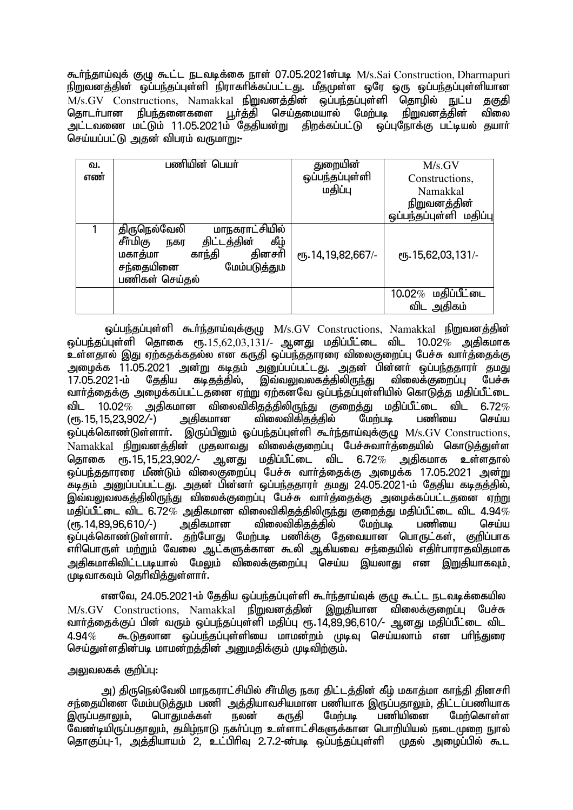கூர்ந்தாய்வுக் குழு கூட்ட நடவடிக்கை நாள் 07.05.2021ன்படி M/s.Sai Construction, Dharmapuri epWtdj;jpd; xg;ge;jg;Gs;sp epuhfhpf;fg;gl;lJ. kPjKs;s xNu xU xg;ge;jg;Gs;spahd  $M/s.GV$  Constructions, Namakkal நிறுவனத்தின் ஒப்பந்தப்புள்ளி தொழில் நுட்ப தகுதி தொடா்பான நிபந்தனைகளை பூா்த்தி செய்தமையால் மேற்படி நிறுவனத்தின் விலை அட்டவணை மட்டும் 11.05.2021ம் தேதியன்று திறக்கப்பட்டு ஒப்புநோக்கு பட்டியல் தயாா் செய்யப்பட்டு அதன் விபரம் வருமாறு:-

| வ.<br>எண் | பணியின் பெயர்                                                                                                                                           | துறையின்<br>ஒப்பந்தப்புள்ளி | M/s.GV<br>Constructions,            |
|-----------|---------------------------------------------------------------------------------------------------------------------------------------------------------|-----------------------------|-------------------------------------|
|           |                                                                                                                                                         | மதிப்பு                     | <b>Namakkal</b>                     |
|           |                                                                                                                                                         |                             | <u>நிறுவனத்தின்</u>                 |
|           |                                                                                                                                                         |                             | ஒப்பந்தப்புள்ளி மதிப்பு             |
|           | மாநகராட்சியில்<br>திருநெல்வேலி<br>கீழ்<br>சீர்மிகு<br>திட்டத்தின்<br>நகர<br>தினசரி<br>காந்தி<br>மகாத்மா<br>சந்தையினை<br>மேம்படுத்தும்<br>பணிகள் செய்தல் | еҧ.14,19,82,667/-           | ரு. 15,62,03,131/-                  |
|           |                                                                                                                                                         |                             | $10.02\%$ மதிப்பீட்டை<br>விட அதிகம் |

ஒப்பந்தப்புள்ளி கூர்ந்தாய்வுக்குழு M/s.GV Constructions, Namakkal நிறுவனத்தின்  $\tilde{\bm{\omega}}$ ப்பந்தப்புள்ளி தொகை ரூ. $15,62,03,131/$ - ஆனது மதிப்பீட்டை விட 10.02 $\%$  அதிகமாக உள்ளதால் இது ஏற்கதக்கதல்ல என கருதி ஒப்பந்ததாரரை விலைகுறைப்பு பேச்சு வார்த்தைக்கு அழைக்க 11.05.2021 அன்று கடிதம் அனுப்பப்பட்டது. அதன் பின்னா் ஒப்பந்ததாரா் தமது<br>17.05.2021-ம் கேகிய கடிகக்கில், இவ்வலுவலகக்கிலிருந்து விலைக்குறைப்பு பேச்சு 17.05.2021-ம் தேதிய கடிதத்தில், இவ்வலுவலகத்திலிருந்து விலைக்குறைப்பு பேச்சு வார்த்தைக்கு அழைக்கப்பட்டதனை ஏற்று ஏற்கன்வே ஒப்பந்தப்புள்ளியில் கொடுத்த மதிப்பீட்டை விட 10.02*%* அதிகமான விலைவிகிதத்திலிருந்து குறைத்து மதிப்பீட்டை விட 6.72*%*<br>(ரூ.15,15,23,902/-) அதிகமான விலைவிகிதத்தில் மேற்படி பணியை செய்ய (ரூ.15,15,23,902/-) அதிகமான விலைவிகிதத்தில் மேற்படி பணியை செய்ய ஒப்புக்கொண்டுள்ளாா். இருப்பினும் ஓப்பந்தப்புள்ளி கூா்ந்தாய்வுக்குழு M/s.GV Constructions, .<br>Namakkal நிறுவனத்தின் முதலாவது விலைக்குறைப்பு பேச்சுவார்த்தையில் கொடுத்துள்ள<br>தொகை ரூ.15,15,23,902/- ஆனது மதிப்பீட்டை விட 6.72% அதிகமாக உள்ளதால் ஆனது மதிப்பீட்டை விட 6.72 $\%$  அகிகமாக உள்ளகால் <u>ைப்ப</u>ர்ககாரரை மீண்டும் விலைகுறைப்பு பேச்சு வார்த்தைக்கு அழைக்க 17.05.2021 அன்று கடிகும் அறுப்பப்பட்டது. அகன் பின்னர் ஒப்பந்ததாரர் தமது 24.05.2021-ம் தேதிய கடிதத்தில். இவ்வலுவலகத்திலிருந்து விலைக்குறைப்பு பேச்சு வார்த்தைக்கு அழைக்கப்பட்டதனை ஏற்று kjpg;gPl;il tpl 6.72% mjpfkhd tpiytpfpjj;jpypUe;J Fiwj;J kjpg;gPl;il tpl 4.94%  $(m.14.89.96.610/-)$ .<br>ஓப்புக்கொண்டுள்ளார். தற்போது மேற்படி பணிக்கு தேவையான பொருட்கள், குறிப்பாக <u>எரிபொருள் மற்று</u>ம் வேலை ஆட்களுக்கான கூலி ஆகியவை சந்தையில் எதிா்பாராதவிதமாக <u>அதிகமாகிவிட்டபடியால் மேலு</u>ம் விலைக்குறைப்பு செய்ய இயலாது என <u>இறு</u>தியாகவும். ்...<br>முடிவாகவும் தெரிவித்துள்ளாா்.

எனவே, 24.05.2021-ம் தேதிய ஒப்பந்தப்புள்ளி கூர்ந்தாய்வுக் குழு கூட்ட நடவடிக்கையில M/s.GV Constructions, Namakkal நிறுவனத்தின் இறுதியான விலைக்குறைப்பு பேச்சு வார்த்தைக்குப் பின் வரும் ஒப்பந்தப்புள்ளி மதிப்பு ரூ.14,89,96,610/- ஆனது மதிப்பீட்டை விட  $4.94\%$  கூடுதலான ஒப்பந்தப்புள்ளியை மாமன்றம் முடிவு செய்யலாம் என பரிந்துரை செய்துள்ளகின்படி மாமன்றத்தின் அறையதிக்கும் முடிவிற்கும்.

# அலுவலகக் குறிப்ப $:$

அ) திருநெல்வேலி மாநகராட்சியில் சீர்மிகு நகர திட்டத்தின் கீம் மகாத்மா காந்தி தினசரி சந்தையினை மேம்படுத்தும் பணி அத்தியாவசியமான பணியாக இருப்பதாலும், திட்டப்பணியாக<br>இருப்பதாலும், பொதுமக்கள் நலன் கருதி மேற்படி பணியினை மேற்கொள்ள இருப்பதாலும், பொதுமக்கள் நலன் கருதி மேற்படி பணியினை மேற்கொள்ள வேண்டியிருப்பதாலும், தமிழ்நாடு நகா்ப்புற உள்ளாட்சிகளுக்கான பொறியியல் நடைமுறை நுால் தொகுப்பு-1, அத்தியாயம் 2, உட்பிரிவு 2.7.2-ன்படி ஒப்பந்தப்புள்ளி முதல் அழைப்பில் கூட